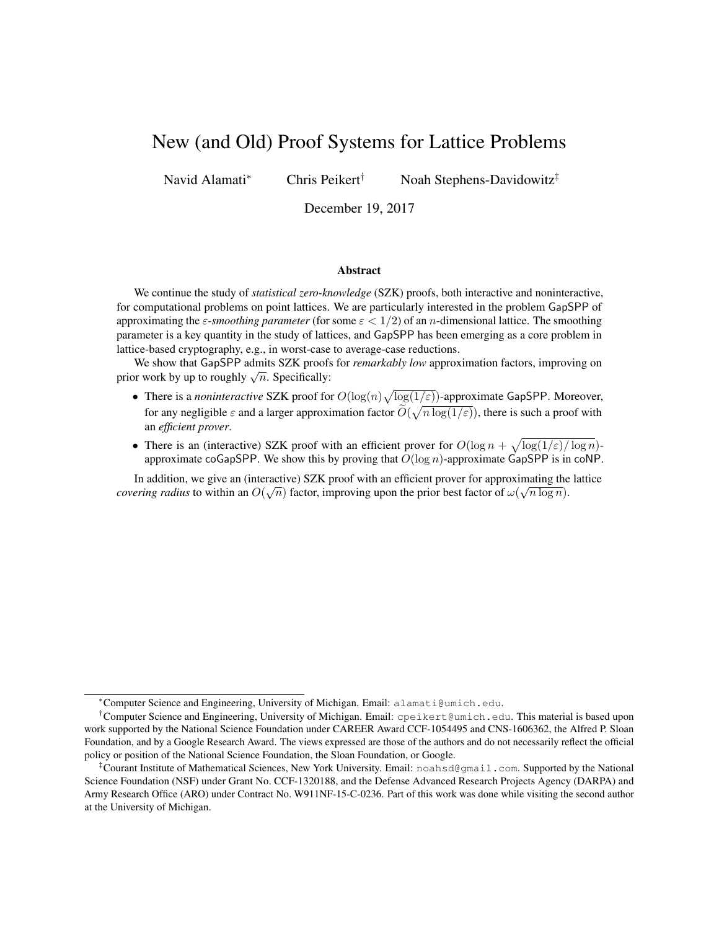# New (and Old) Proof Systems for Lattice Problems

Navid Alamati<sup>∗</sup> Chris Peikert† Noah Stephens-Davidowitz‡

December 19, 2017

#### Abstract

We continue the study of *statistical zero-knowledge* (SZK) proofs, both interactive and noninteractive, for computational problems on point lattices. We are particularly interested in the problem GapSPP of approximating the  $\varepsilon$ -smoothing parameter (for some  $\varepsilon < 1/2$ ) of an *n*-dimensional lattice. The smoothing parameter is a key quantity in the study of lattices, and GapSPP has been emerging as a core problem in lattice-based cryptography, e.g., in worst-case to average-case reductions.

We show that GapSPP admits SZK proofs for *remarkably low* approximation factors, improving on we show that GapSFF admits SZK proofs<br>prior work by up to roughly  $\sqrt{n}$ . Specifically:

- There is a *noninteractive* SZK proof for  $O(\log(n)\sqrt{\log(1/\varepsilon)})$ -approximate GapSPP. Moreover, for any negligible  $\varepsilon$  and a larger approximation factor  $\widetilde{O}(\sqrt{n \log(1/\varepsilon)})$ , there is such a proof with an *efficient prover*.
- There is an (interactive) SZK proof with an efficient prover for  $O(\log n + \sqrt{\log(1/\varepsilon)/\log n})$ approximate coGapSPP. We show this by proving that  $O(\log n)$ -approximate GapSPP is in coNP.

In addition, we give an (interactive) SZK proof with an efficient prover for approximating the lattice *covering radius* to within an  $O(\sqrt{n})$  factor, improving upon the prior best factor of  $\omega(\sqrt{n \log n})$ .

<sup>∗</sup>Computer Science and Engineering, University of Michigan. Email: alamati@umich.edu.

<sup>&</sup>lt;sup>†</sup>Computer Science and Engineering, University of Michigan. Email: cpeikert@umich.edu. This material is based upon work supported by the National Science Foundation under CAREER Award CCF-1054495 and CNS-1606362, the Alfred P. Sloan Foundation, and by a Google Research Award. The views expressed are those of the authors and do not necessarily reflect the official policy or position of the National Science Foundation, the Sloan Foundation, or Google.

<sup>‡</sup>Courant Institute of Mathematical Sciences, New York University. Email: noahsd@gmail.com. Supported by the National Science Foundation (NSF) under Grant No. CCF-1320188, and the Defense Advanced Research Projects Agency (DARPA) and Army Research Office (ARO) under Contract No. W911NF-15-C-0236. Part of this work was done while visiting the second author at the University of Michigan.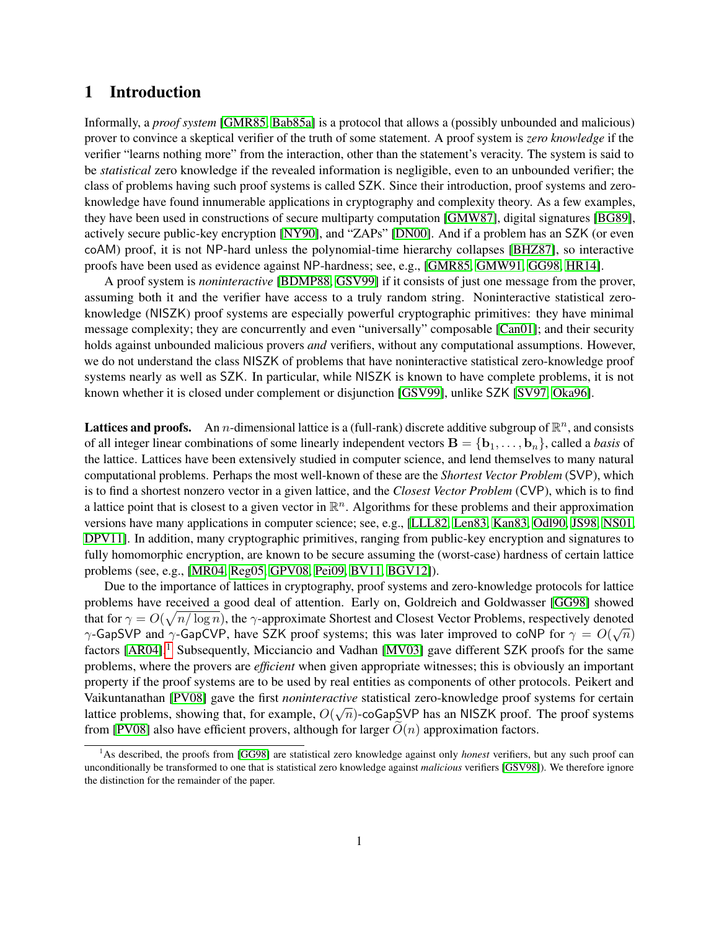# 1 Introduction

Informally, a *proof system* [\[GMR85,](#page-19-0) [Bab85a\]](#page-18-0) is a protocol that allows a (possibly unbounded and malicious) prover to convince a skeptical verifier of the truth of some statement. A proof system is *zero knowledge* if the verifier "learns nothing more" from the interaction, other than the statement's veracity. The system is said to be *statistical* zero knowledge if the revealed information is negligible, even to an unbounded verifier; the class of problems having such proof systems is called SZK. Since their introduction, proof systems and zeroknowledge have found innumerable applications in cryptography and complexity theory. As a few examples, they have been used in constructions of secure multiparty computation [\[GMW87\]](#page-19-1), digital signatures [\[BG89\]](#page-19-2), actively secure public-key encryption [\[NY90\]](#page-20-0), and "ZAPs" [\[DN00\]](#page-19-3). And if a problem has an SZK (or even coAM) proof, it is not NP-hard unless the polynomial-time hierarchy collapses [\[BHZ87\]](#page-19-4), so interactive proofs have been used as evidence against NP-hardness; see, e.g., [\[GMR85,](#page-19-0) [GMW91,](#page-19-5) [GG98,](#page-19-6) [HR14\]](#page-20-1).

A proof system is *noninteractive* [\[BDMP88,](#page-19-7) [GSV99\]](#page-20-2) if it consists of just one message from the prover, assuming both it and the verifier have access to a truly random string. Noninteractive statistical zeroknowledge (NISZK) proof systems are especially powerful cryptographic primitives: they have minimal message complexity; they are concurrently and even "universally" composable [\[Can01\]](#page-19-8); and their security holds against unbounded malicious provers *and* verifiers, without any computational assumptions. However, we do not understand the class NISZK of problems that have noninteractive statistical zero-knowledge proof systems nearly as well as SZK. In particular, while NISZK is known to have complete problems, it is not known whether it is closed under complement or disjunction [\[GSV99\]](#page-20-2), unlike SZK [\[SV97,](#page-21-0) [Oka96\]](#page-21-1).

**Lattices and proofs.** An *n*-dimensional lattice is a (full-rank) discrete additive subgroup of  $\mathbb{R}^n$ , and consists of all integer linear combinations of some linearly independent vectors  $\mathbf{B} = \{\mathbf{b}_1, \dots, \mathbf{b}_n\}$ , called a *basis* of the lattice. Lattices have been extensively studied in computer science, and lend themselves to many natural computational problems. Perhaps the most well-known of these are the *Shortest Vector Problem* (SVP), which is to find a shortest nonzero vector in a given lattice, and the *Closest Vector Problem* (CVP), which is to find a lattice point that is closest to a given vector in  $\mathbb{R}^n$ . Algorithms for these problems and their approximation versions have many applications in computer science; see, e.g., [\[LLL82,](#page-20-3) [Len83,](#page-20-4) [Kan83,](#page-20-5) [Odl90,](#page-20-6) [JS98,](#page-20-7) [NS01,](#page-20-8) [DPV11\]](#page-19-9). In addition, many cryptographic primitives, ranging from public-key encryption and signatures to fully homomorphic encryption, are known to be secure assuming the (worst-case) hardness of certain lattice problems (see, e.g., [\[MR04,](#page-20-9) [Reg05,](#page-21-2) [GPV08,](#page-19-10) [Pei09,](#page-21-3) [BV11,](#page-19-11) [BGV12\]](#page-19-12)).

Due to the importance of lattices in cryptography, proof systems and zero-knowledge protocols for lattice problems have received a good deal of attention. Early on, Goldreich and Goldwasser [\[GG98\]](#page-19-6) showed that for  $\gamma = O(\sqrt{n/\log n})$ , the  $\gamma$ -approximate Shortest and Closest Vector Problems, respectively denoted  $\gamma$ -GapSVP and  $\gamma$ -GapCVP, have SZK proof systems; this was later improved to coNP for  $\gamma = O(\sqrt{n})$ factors [\[AR04\]](#page-18-1).<sup>[1](#page-1-0)</sup> Subsequently, Micciancio and Vadhan [\[MV03\]](#page-20-10) gave different SZK proofs for the same problems, where the provers are *efficient* when given appropriate witnesses; this is obviously an important property if the proof systems are to be used by real entities as components of other protocols. Peikert and Vaikuntanathan [\[PV08\]](#page-21-4) gave the first *noninteractive* statistical zero-knowledge proof systems for certain √ lattice problems, showing that, for example,  $O(\sqrt{n})$ -coGapSVP has an NISZK proof. The proof systems from [\[PV08\]](#page-21-4) also have efficient provers, although for larger  $\tilde{O}(n)$  approximation factors.

<span id="page-1-0"></span><sup>&</sup>lt;sup>1</sup>As described, the proofs from [\[GG98\]](#page-19-6) are statistical zero knowledge against only *honest* verifiers, but any such proof can unconditionally be transformed to one that is statistical zero knowledge against *malicious* verifiers [\[GSV98\]](#page-20-11)). We therefore ignore the distinction for the remainder of the paper.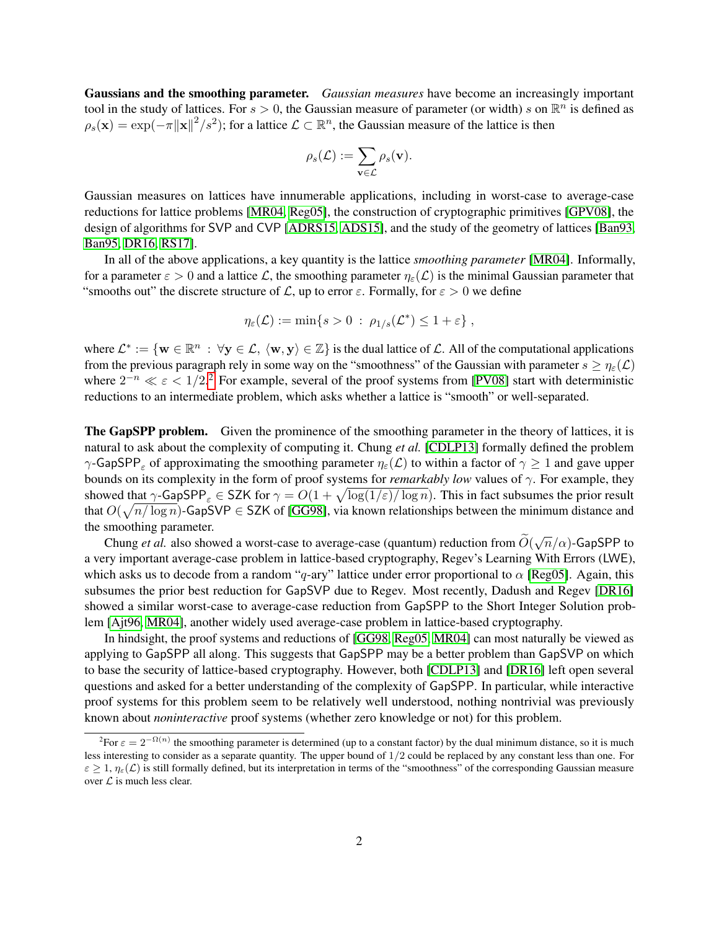Gaussians and the smoothing parameter. *Gaussian measures* have become an increasingly important tool in the study of lattices. For  $s > 0$ , the Gaussian measure of parameter (or width) s on  $\mathbb{R}^n$  is defined as  $\rho_s(\mathbf{x}) = \exp(-\pi \|\mathbf{x}\|^2 / s^2)$ ; for a lattice  $\mathcal{L} \subset \mathbb{R}^n$ , the Gaussian measure of the lattice is then

$$
\rho_s(\mathcal{L}) := \sum_{\mathbf{v} \in \mathcal{L}} \rho_s(\mathbf{v}).
$$

Gaussian measures on lattices have innumerable applications, including in worst-case to average-case reductions for lattice problems [\[MR04,](#page-20-9) [Reg05\]](#page-21-2), the construction of cryptographic primitives [\[GPV08\]](#page-19-10), the design of algorithms for SVP and CVP [\[ADRS15,](#page-18-2) [ADS15\]](#page-18-3), and the study of the geometry of lattices [\[Ban93,](#page-18-4) [Ban95,](#page-19-13) [DR16,](#page-19-14) [RS17\]](#page-21-5).

In all of the above applications, a key quantity is the lattice *smoothing parameter* [\[MR04\]](#page-20-9). Informally, for a parameter  $\varepsilon > 0$  and a lattice L, the smoothing parameter  $\eta_{\varepsilon}(\mathcal{L})$  is the minimal Gaussian parameter that "smooths out" the discrete structure of  $\mathcal{L}$ , up to error  $\varepsilon$ . Formally, for  $\varepsilon > 0$  we define

$$
\eta_{\varepsilon}(\mathcal{L}) := \min\{s > 0 \; : \; \rho_{1/s}(\mathcal{L}^*) \le 1 + \varepsilon\},\,
$$

where  $\mathcal{L}^* := \{ \mathbf{w} \in \mathbb{R}^n : \forall \mathbf{y} \in \mathcal{L}, \langle \mathbf{w}, \mathbf{y} \rangle \in \mathbb{Z} \}$  is the dual lattice of  $\mathcal{L}$ . All of the computational applications from the previous paragraph rely in some way on the "smoothness" of the Gaussian with parameter  $s \geq \eta_{\varepsilon}(\mathcal{L})$ where  $2^{-n} \ll \varepsilon < 1/2$  $2^{-n} \ll \varepsilon < 1/2$ .<sup>2</sup> For example, several of the proof systems from [\[PV08\]](#page-21-4) start with deterministic reductions to an intermediate problem, which asks whether a lattice is "smooth" or well-separated.

The GapSPP problem. Given the prominence of the smoothing parameter in the theory of lattices, it is natural to ask about the complexity of computing it. Chung *et al.* [\[CDLP13\]](#page-19-15) formally defined the problem  $\gamma$ -GapSPP<sub>ε</sub> of approximating the smoothing parameter  $\eta_{\varepsilon}(\mathcal{L})$  to within a factor of  $\gamma \geq 1$  and gave upper bounds on its complexity in the form of proof systems for *remarkably low* values of  $\gamma$ . For example, they showed that  $\gamma$ -GapSPP<sub> $\varepsilon$ </sub>  $\in$  SZK for  $\gamma = O(1 + \sqrt{\log(1/\varepsilon)/\log n})$ . This in fact subsumes the prior result that  $O(\sqrt{n/\log n})$ -GapSVP  $\in$  SZK of [\[GG98\]](#page-19-6), via known relationships between the minimum distance and the smoothing parameter.

Chung *et al.* also showed a worst-case to average-case (quantum) reduction from  $\widetilde{O}(\sqrt{n}/\alpha)$ -GapSPP to a very important average-case problem in lattice-based cryptography, Regev's Learning With Errors (LWE), which asks us to decode from a random "q-ary" lattice under error proportional to  $\alpha$  [\[Reg05\]](#page-21-2). Again, this subsumes the prior best reduction for GapSVP due to Regev. Most recently, Dadush and Regev [\[DR16\]](#page-19-14) showed a similar worst-case to average-case reduction from GapSPP to the Short Integer Solution problem [\[Ajt96,](#page-18-5) [MR04\]](#page-20-9), another widely used average-case problem in lattice-based cryptography.

In hindsight, the proof systems and reductions of [\[GG98,](#page-19-6) [Reg05,](#page-21-2) [MR04\]](#page-20-9) can most naturally be viewed as applying to GapSPP all along. This suggests that GapSPP may be a better problem than GapSVP on which to base the security of lattice-based cryptography. However, both [\[CDLP13\]](#page-19-15) and [\[DR16\]](#page-19-14) left open several questions and asked for a better understanding of the complexity of GapSPP. In particular, while interactive proof systems for this problem seem to be relatively well understood, nothing nontrivial was previously known about *noninteractive* proof systems (whether zero knowledge or not) for this problem.

<span id="page-2-0"></span><sup>&</sup>lt;sup>2</sup>For  $\varepsilon = 2^{-\Omega(n)}$  the smoothing parameter is determined (up to a constant factor) by the dual minimum distance, so it is much less interesting to consider as a separate quantity. The upper bound of 1/2 could be replaced by any constant less than one. For  $\varepsilon \geq 1$ ,  $\eta_{\varepsilon}(\mathcal{L})$  is still formally defined, but its interpretation in terms of the "smoothness" of the corresponding Gaussian measure over  $\mathcal L$  is much less clear.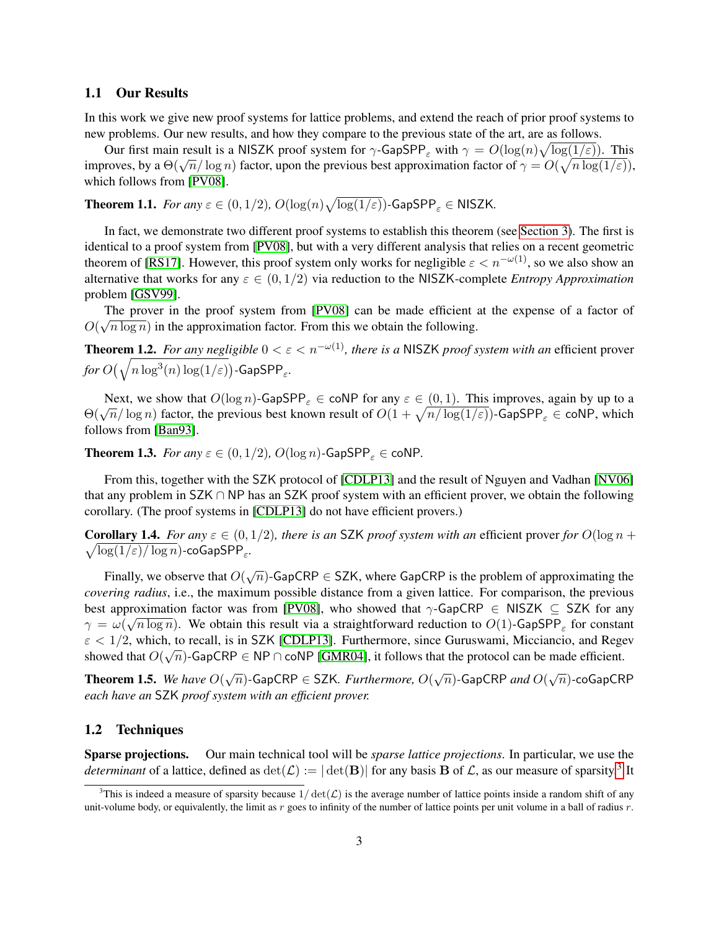#### 1.1 Our Results

In this work we give new proof systems for lattice problems, and extend the reach of prior proof systems to new problems. Our new results, and how they compare to the previous state of the art, are as follows.

Our first main result is a NISZK proof system for  $\gamma$ -GapSPP<sub> $\varepsilon$ </sub> with  $\gamma = O(\log(n)\sqrt{\log(1/\varepsilon)})$ . This improves, by a  $\Theta(\sqrt{n}/\log n)$  factor, upon the previous best approximation factor of  $\gamma = O(\sqrt{n}\log(1/\epsilon))$ , if  $\log(1/\epsilon)$ which follows from [\[PV08\]](#page-21-4).

**Theorem 1.1.** *For any*  $\varepsilon \in (0,1/2)$ ,  $O(\log(n)\sqrt{\log(1/\varepsilon)})$ -GapSPP<sub> $\varepsilon$ </sub>  $\in$  NISZK.

In fact, we demonstrate two different proof systems to establish this theorem (see [Section 3\)](#page-11-0). The first is identical to a proof system from [\[PV08\]](#page-21-4), but with a very different analysis that relies on a recent geometric theorem of [\[RS17\]](#page-21-5). However, this proof system only works for negligible  $\varepsilon < n^{-\omega(1)}$ , so we also show an alternative that works for any  $\varepsilon \in (0, 1/2)$  via reduction to the NISZK-complete *Entropy Approximation* problem [\[GSV99\]](#page-20-2).

The prover in the proof system from [\[PV08\]](#page-21-4) can be made efficient at the expense of a factor of  $O(\sqrt{n \log n})$  in the approximation factor. From this we obtain the following.

<span id="page-3-1"></span>**Theorem 1.2.** *For any negligible*  $0 < \varepsilon < n^{-\omega(1)}$ *, there is a* NISZK *proof system with an* efficient prover  ${\it for}~ O\big(\sqrt{n\log^3(n)\log(1/\varepsilon)}\big)$ -GapSPP $_\varepsilon$ .

Next, we show that  $O(\log n)$ -GapSPP<sub> $\varepsilon \in \text{coNP}$  for any  $\varepsilon \in (0, 1)$ . This improves, again by up to a</sub>  $Θ(\sqrt{n}/\log n)$  factor, the previous best known result of  $O(1 + \sqrt{n/\log(1/\varepsilon)})$ -GapSPP<sub> $\varepsilon$ </sub> ∈ coNP, which follows from [\[Ban93\]](#page-18-4).

**Theorem 1.3.** *For any*  $\varepsilon \in (0, 1/2)$ ,  $O(\log n)$ -GapSPP<sub>s</sub>  $\in$  coNP.

From this, together with the SZK protocol of [\[CDLP13\]](#page-19-15) and the result of Nguyen and Vadhan [\[NV06\]](#page-20-12) that any problem in SZK ∩ NP has an SZK proof system with an efficient prover, we obtain the following corollary. (The proof systems in [\[CDLP13\]](#page-19-15) do not have efficient provers.)

**Corollary 1.4.** For any  $\varepsilon \in (0, 1/2)$ , there is an SZK proof system with an efficient prover for  $O(\log n + 1)$  $\sqrt{\log(1/\varepsilon)/\log n}$ )-coGapSPP<sub>ε</sub>.

Finally, we observe that  $O(\sqrt{n})$ -GapCRP  $\in$  SZK, where GapCRP is the problem of approximating the *covering radius*, i.e., the maximum possible distance from a given lattice. For comparison, the previous best approximation factor was from [\[PV08\]](#page-21-4), who showed that  $\gamma$ -GapCRP  $\in$  NISZK  $\subseteq$  SZK for any  $\gamma = \omega(\sqrt{n \log n})$ . We obtain this result via a straightforward reduction to  $O(1)$ -GapSPP<sub> $_{\varepsilon}$ </sub> for constant  $\varepsilon$  < 1/2, which, to recall, is in SZK [\[CDLP13\]](#page-19-15). Furthermore, since Guruswami, Micciancio, and Regev showed that  $O(\sqrt{n})$ -GapCRP  $\in$  NP  $\cap$  coNP [\[GMR04\]](#page-19-16), it follows that the protocol can be made efficient.

**Theorem 1.5.** We have  $O(\sqrt{n})$ -GapCRP  $\in$  SZK. Furthermore,  $O(\sqrt{n})$ -GapCRP and  $O(\sqrt{n})$ -coGapCRP *each have an* SZK *proof system with an efficient prover.*

#### 1.2 Techniques

Sparse projections. Our main technical tool will be *sparse lattice projections*. In particular, we use the *determinant* of a lattice, defined as  $det(\mathcal{L}) := |\det(\mathbf{B})|$  for any basis **B** of  $\mathcal{L}$ , as our measure of sparsity.<sup>[3](#page-3-0)</sup> It

<span id="page-3-0"></span><sup>&</sup>lt;sup>3</sup>This is indeed a measure of sparsity because  $1/\det(\mathcal{L})$  is the average number of lattice points inside a random shift of any unit-volume body, or equivalently, the limit as  $r$  goes to infinity of the number of lattice points per unit volume in a ball of radius  $r$ .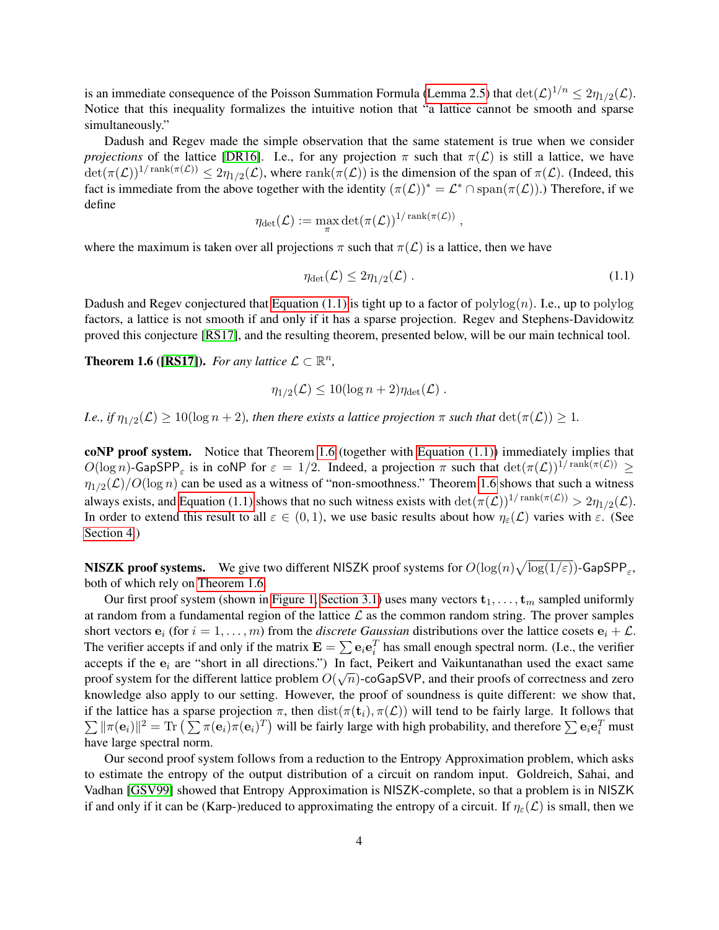is an immediate consequence of the Poisson Summation Formula [\(Lemma 2.5\)](#page-7-0) that  $\det(\mathcal{L})^{1/n} \leq 2\eta_{1/2}(\mathcal{L})$ . Notice that this inequality formalizes the intuitive notion that "a lattice cannot be smooth and sparse simultaneously."

Dadush and Regev made the simple observation that the same statement is true when we consider *projections* of the lattice [\[DR16\]](#page-19-14). I.e., for any projection  $\pi$  such that  $\pi(\mathcal{L})$  is still a lattice, we have  $\det(\pi(\mathcal{L}))^{1/\operatorname{rank}(\pi(\mathcal{L}))} \leq 2\eta_{1/2}(\mathcal{L})$ , where  $\operatorname{rank}(\pi(\mathcal{L}))$  is the dimension of the span of  $\pi(\mathcal{L})$ . (Indeed, this fact is immediate from the above together with the identity  $(\pi(\mathcal{L}))^* = \mathcal{L}^* \cap \text{span}(\pi(\mathcal{L}))$ .) Therefore, if we define

$$
\eta_{\det}(\mathcal{L}):=\max_{\pi}\det(\pi(\mathcal{L}))^{1/\operatorname{rank}(\pi(\mathcal{L}))}
$$

where the maximum is taken over all projections  $\pi$  such that  $\pi(\mathcal{L})$  is a lattice, then we have

$$
\eta_{\det}(\mathcal{L}) \le 2\eta_{1/2}(\mathcal{L})\,. \tag{1.1}
$$

<span id="page-4-0"></span>,

Dadush and Regev conjectured that [Equation \(1.1\)](#page-4-0) is tight up to a factor of polylog $(n)$ . I.e., up to polylog factors, a lattice is not smooth if and only if it has a sparse projection. Regev and Stephens-Davidowitz proved this conjecture [\[RS17\]](#page-21-5), and the resulting theorem, presented below, will be our main technical tool.

<span id="page-4-1"></span>**Theorem 1.6 ([\[RS17\]](#page-21-5)).** For any lattice  $\mathcal{L} \subset \mathbb{R}^n$ ,

$$
\eta_{1/2}(\mathcal{L}) \leq 10(\log n + 2)\eta_{\text{det}}(\mathcal{L})\ .
$$

*I.e., if*  $\eta_{1/2}(\mathcal{L}) \ge 10(\log n + 2)$ *, then there exists a lattice projection*  $\pi$  *such that*  $\det(\pi(\mathcal{L})) \ge 1$ *.* 

coNP proof system. Notice that Theorem [1.6](#page-4-1) (together with [Equation \(1.1\)\)](#page-4-0) immediately implies that  $O(\log n)$ -GapSPP<sub> $\varepsilon$ </sub> is in coNP for  $\varepsilon = 1/2$ . Indeed, a projection  $\pi$  such that  $\det(\pi(\mathcal{L}))^{1/\mathrm{rank}(\pi(\mathcal{L}))} \ge$  $\eta_{1/2}(\mathcal{L})/O(\log n)$  can be used as a witness of "non-smoothness." Theorem [1.6](#page-4-1) shows that such a witness always exists, and [Equation \(1.1\)](#page-4-0) shows that no such witness exists with  $\det(\pi(\mathcal{L}))^{1/\mathrm{rank}(\pi(\mathcal{L}))} > 2\eta_{1/2}(\mathcal{L})$ . In order to extend this result to all  $\varepsilon \in (0,1)$ , we use basic results about how  $\eta_{\varepsilon}(\mathcal{L})$  varies with  $\varepsilon$ . (See [Section 4.](#page-15-0))

NISZK proof systems. We give two different NISZK proof systems for  $O(\log(n)\sqrt{\log(1/\varepsilon)})$ -GapSPP $_\varepsilon$ , both of which rely on [Theorem 1.6.](#page-4-1)

Our first proof system (shown in [Figure 1,](#page-11-1) [Section 3.1\)](#page-11-2) uses many vectors  $t_1, \ldots, t_m$  sampled uniformly at random from a fundamental region of the lattice  $\mathcal L$  as the common random string. The prover samples short vectors  $e_i$  (for  $i = 1, \ldots, m$ ) from the *discrete Gaussian* distributions over the lattice cosets  $e_i + \mathcal{L}$ . The verifier accepts if and only if the matrix  $\mathbf{E} = \sum \mathbf{e}_i \mathbf{e}_i^T$  has small enough spectral norm. (I.e., the verifier accepts if the  $e_i$  are "short in all directions.") In fact, Peikert and Vaikuntanathan used the exact same proof system for the different lattice problem  $O(\sqrt{n})$ -coGapSVP, and their proofs of correctness and zero knowledge also apply to our setting. However, the proof of soundness is quite different: we show that, if the lattice has a sparse projection  $\pi$ , then  $dist(\pi(t_i), \pi(\mathcal{L}))$  will tend to be fairly large. It follows that  $\sum ||\pi(\mathbf{e}_i)||^2 = \text{Tr} \left( \sum \pi(\mathbf{e}_i) \pi(\mathbf{e}_i)^T \right)$  will be fairly large with high probability, and therefore  $\sum \mathbf{e}_i \mathbf{e}_i^T$  must have large spectral norm.

Our second proof system follows from a reduction to the Entropy Approximation problem, which asks to estimate the entropy of the output distribution of a circuit on random input. Goldreich, Sahai, and Vadhan [\[GSV99\]](#page-20-2) showed that Entropy Approximation is NISZK-complete, so that a problem is in NISZK if and only if it can be (Karp-)reduced to approximating the entropy of a circuit. If  $\eta_{\varepsilon}(\mathcal{L})$  is small, then we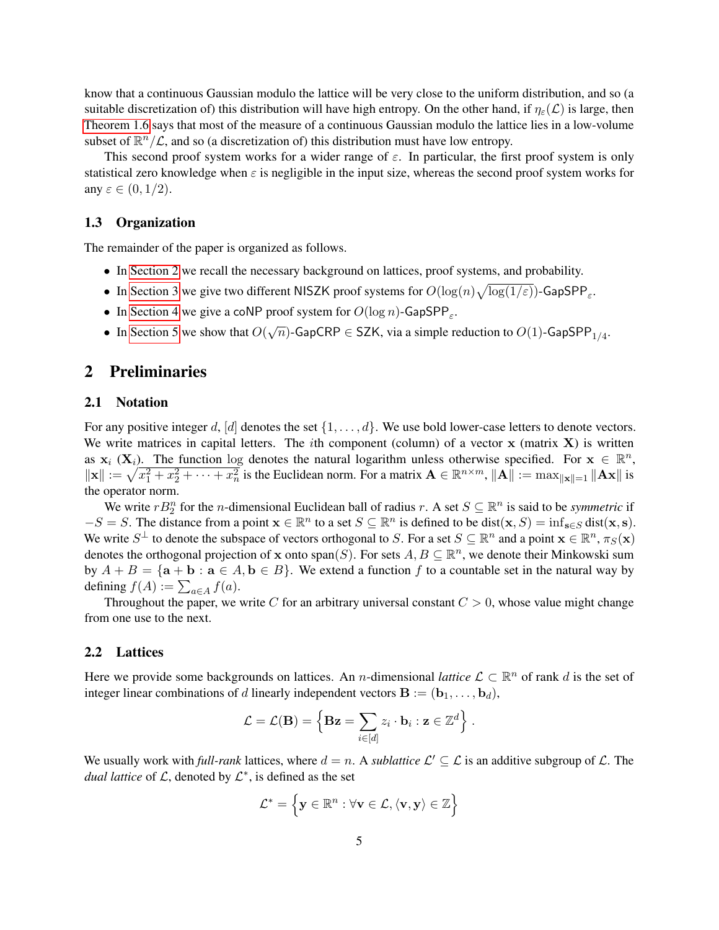know that a continuous Gaussian modulo the lattice will be very close to the uniform distribution, and so (a suitable discretization of) this distribution will have high entropy. On the other hand, if  $\eta_{\varepsilon}(\mathcal{L})$  is large, then [Theorem 1.6](#page-4-1) says that most of the measure of a continuous Gaussian modulo the lattice lies in a low-volume subset of  $\mathbb{R}^n/\mathcal{L}$ , and so (a discretization of) this distribution must have low entropy.

This second proof system works for a wider range of  $\varepsilon$ . In particular, the first proof system is only statistical zero knowledge when  $\varepsilon$  is negligible in the input size, whereas the second proof system works for any  $\varepsilon \in (0,1/2)$ .

#### 1.3 Organization

The remainder of the paper is organized as follows.

- In [Section 2](#page-5-0) we recall the necessary background on lattices, proof systems, and probability.
- In [Section 3](#page-11-0) we give two different NISZK proof systems for  $O(\log(n)\sqrt{\log(1/\varepsilon)})$ -GapSPP<sub> $\varepsilon$ </sub>.
- In [Section 4](#page-15-0) we give a coNP proof system for  $O(\log n)$ -GapSPP<sub> $\varepsilon$ </sub>.
- In [Section 5](#page-17-0) we show that  $O(\sqrt{n})$ -GapCRP  $\in$  SZK, via a simple reduction to  $O(1)$ -GapSPP<sub>1/4</sub>.

### <span id="page-5-0"></span>2 Preliminaries

#### 2.1 Notation

For any positive integer d, [d] denotes the set  $\{1, \ldots, d\}$ . We use bold lower-case letters to denote vectors. We write matrices in capital letters. The *i*th component (column) of a vector  $x$  (matrix  $\bf{X}$ ) is written as  $x_i$  ( $X_i$ ). The function log denotes the natural logarithm unless otherwise specified. For  $x \in \mathbb{R}^n$ ,  $\|\mathbf{x}\| := \sqrt{x_1^2 + x_2^2 + \cdots + x_n^2}$  is the Euclidean norm. For a matrix  $\mathbf{A} \in \mathbb{R}^{n \times m}$ ,  $\|\mathbf{A}\| := \max_{\|\mathbf{x}\| = 1} \|\mathbf{A}\mathbf{x}\|$  is the operator norm.

We write  $rB_2^n$  for the *n*-dimensional Euclidean ball of radius r. A set  $S \subseteq \mathbb{R}^n$  is said to be *symmetric* if  $-S = S$ . The distance from a point  $\mathbf{x} \in \mathbb{R}^n$  to a set  $S \subseteq \mathbb{R}^n$  is defined to be dist $(\mathbf{x}, S) = \inf_{\mathbf{s} \in S} \text{dist}(\mathbf{x}, \mathbf{s})$ . We write  $S^{\perp}$  to denote the subspace of vectors orthogonal to S. For a set  $S \subseteq \mathbb{R}^n$  and a point  $\mathbf{x} \in \mathbb{R}^n$ ,  $\pi_S(\mathbf{x})$ denotes the orthogonal projection of x onto span(S). For sets  $A, B \subseteq \mathbb{R}^n$ , we denote their Minkowski sum by  $A + B = \{a + b : a \in A, b \in B\}$ . We extend a function f to a countable set in the natural way by defining  $f(A) := \sum_{a \in A} f(a)$ .

Throughout the paper, we write C for an arbitrary universal constant  $C > 0$ , whose value might change from one use to the next.

#### 2.2 Lattices

Here we provide some backgrounds on lattices. An *n*-dimensional *lattice*  $\mathcal{L} \subset \mathbb{R}^n$  of rank d is the set of integer linear combinations of d linearly independent vectors  $\mathbf{B} := (\mathbf{b}_1, \dots, \mathbf{b}_d)$ ,

$$
\mathcal{L} = \mathcal{L}(\mathbf{B}) = \left\{ \mathbf{B} \mathbf{z} = \sum_{i \in [d]} z_i \cdot \mathbf{b}_i : \mathbf{z} \in \mathbb{Z}^d \right\}.
$$

We usually work with *full-rank* lattices, where  $d = n$ . A *sublattice*  $\mathcal{L}' \subseteq \mathcal{L}$  is an additive subgroup of  $\mathcal{L}$ . The *dual lattice* of  $\mathcal{L}$ , denoted by  $\mathcal{L}^*$ , is defined as the set

$$
\mathcal{L}^* = \left\{ \mathbf{y} \in \mathbb{R}^n : \forall \mathbf{v} \in \mathcal{L}, \langle \mathbf{v}, \mathbf{y} \rangle \in \mathbb{Z} \right\}
$$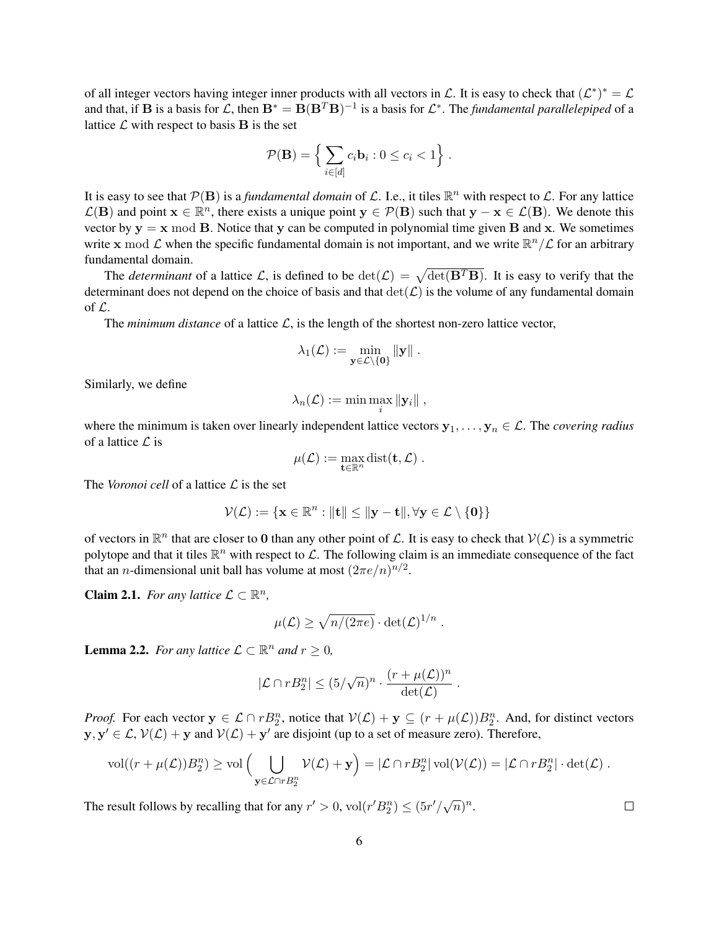of all integer vectors having integer inner products with all vectors in  $\mathcal L$ . It is easy to check that  $(\mathcal L^*)^* = \mathcal L$ and that, if **B** is a basis for  $\mathcal{L}$ , then  $\mathbf{B}^* = \mathbf{B}(\mathbf{B}^T \mathbf{B})^{-1}$  is a basis for  $\mathcal{L}^*$ . The *fundamental parallelepiped* of a lattice  $\mathcal L$  with respect to basis  $\mathbf B$  is the set

$$
\mathcal{P}(\mathbf{B}) = \left\{ \sum_{i \in [d]} c_i \mathbf{b}_i : 0 \le c_i < 1 \right\}.
$$

It is easy to see that  $\mathcal{P}(B)$  is a *fundamental domain* of  $\mathcal{L}$ . I.e., it tiles  $\mathbb{R}^n$  with respect to  $\mathcal{L}$ . For any lattice  $\mathcal{L}(\mathbf{B})$  and point  $\mathbf{x} \in \mathbb{R}^n$ , there exists a unique point  $\mathbf{y} \in \mathcal{P}(\mathbf{B})$  such that  $\mathbf{y} - \mathbf{x} \in \mathcal{L}(\mathbf{B})$ . We denote this vector by  $y = x \mod B$ . Notice that y can be computed in polynomial time given B and x. We sometimes write x mod  $\mathcal L$  when the specific fundamental domain is not important, and we write  $\mathbb R^n/\mathcal L$  for an arbitrary fundamental domain.

The *determinant* of a lattice L, is defined to be  $\det(\mathcal{L}) = \sqrt{\det(\mathbf{B}^T \mathbf{B})}$ . It is easy to verify that the determinant does not depend on the choice of basis and that  $\det(\mathcal{L})$  is the volume of any fundamental domain of L.

The *minimum distance* of a lattice  $\mathcal{L}$ , is the length of the shortest non-zero lattice vector,

$$
\lambda_1(\mathcal{L}):=\min_{\mathbf{y}\in\mathcal{L}\setminus\{\mathbf{0}\}}\|\mathbf{y}\|~.
$$

Similarly, we define

$$
\lambda_n(\mathcal{L}):=\min\max_i\|\mathbf{y}_i\|\;,
$$

where the minimum is taken over linearly independent lattice vectors  $y_1, \ldots, y_n \in \mathcal{L}$ . The *covering radius* of a lattice  $\mathcal{L}$  is

$$
\mu(\mathcal{L}):=\max_{\mathbf{t}\in\mathbb{R}^n}\mathrm{dist}(\mathbf{t},\mathcal{L})\ .
$$

The *Voronoi cell* of a lattice  $\mathcal{L}$  is the set

$$
\mathcal{V}(\mathcal{L}) := \{ \mathbf{x} \in \mathbb{R}^n : ||\mathbf{t}|| \le ||\mathbf{y} - \mathbf{t}||, \forall \mathbf{y} \in \mathcal{L} \setminus \{\mathbf{0}\}\}
$$

of vectors in  $\mathbb{R}^n$  that are closer to 0 than any other point of  $\mathcal{L}$ . It is easy to check that  $\mathcal{V}(\mathcal{L})$  is a symmetric polytope and that it tiles  $\mathbb{R}^n$  with respect to  $\mathcal{L}$ . The following claim is an immediate consequence of the fact that an *n*-dimensional unit ball has volume at most  $(2\pi e/n)^{n/2}$ .

<span id="page-6-1"></span>**Claim 2.1.** *For any lattice*  $\mathcal{L} \subset \mathbb{R}^n$ *,* 

$$
\mu(\mathcal{L}) \ge \sqrt{n/(2\pi e)} \cdot \det(\mathcal{L})^{1/n} .
$$

<span id="page-6-2"></span>**Lemma 2.2.** *For any lattice*  $\mathcal{L} \subset \mathbb{R}^n$  *and*  $r \geq 0$ *,* 

$$
|\mathcal{L} \cap rB_2^n| \leq (5/\sqrt{n})^n \cdot \frac{(r + \mu(\mathcal{L}))^n}{\det(\mathcal{L})}.
$$

*Proof.* For each vector  $y \in \mathcal{L} \cap rB_2^n$ , notice that  $\mathcal{V}(\mathcal{L}) + y \subseteq (r + \mu(\mathcal{L}))B_2^n$ . And, for distinct vectors  $y, y' \in \mathcal{L}, \mathcal{V}(\mathcal{L}) + y$  and  $\mathcal{V}(\mathcal{L}) + y'$  are disjoint (up to a set of measure zero). Therefore,

$$
\text{vol}((r+\mu(\mathcal{L}))B_2^n) \ge \text{vol}\left(\bigcup_{\mathbf{y}\in\mathcal{L}\cap rB_2^n}\mathcal{V}(\mathcal{L})+\mathbf{y}\right) = |\mathcal{L}\cap rB_2^n|\,\text{vol}(\mathcal{V}(\mathcal{L})) = |\mathcal{L}\cap rB_2^n|\cdot\text{det}(\mathcal{L})\;.
$$

<span id="page-6-0"></span>The result follows by recalling that for any  $r' > 0$ ,  $vol(r' B_2^n) \leq (5r'/\sqrt{n})^n$ .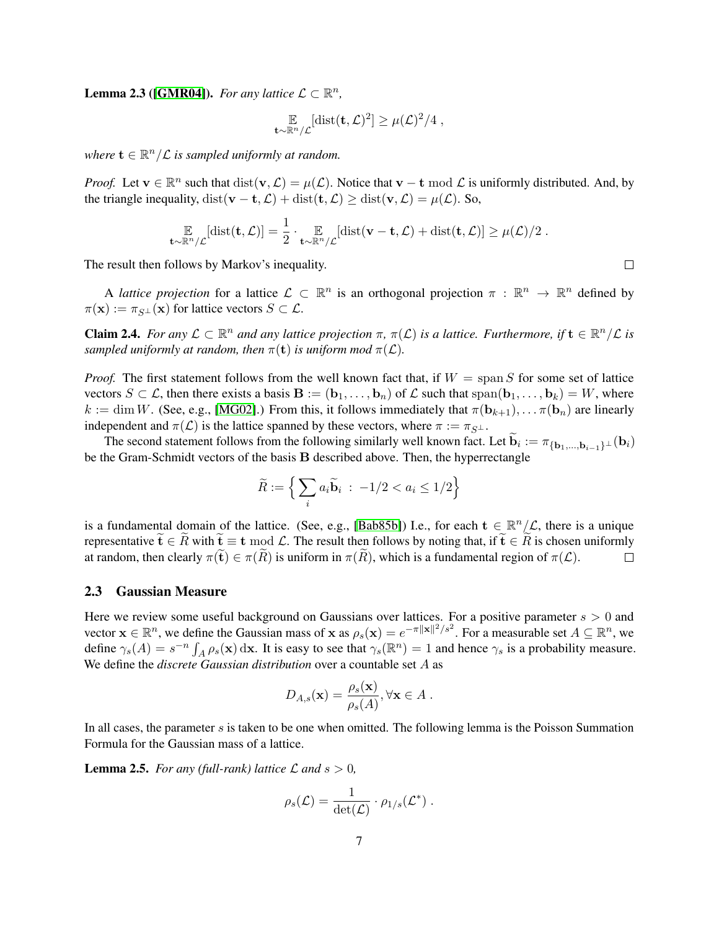**Lemma 2.3** ([\[GMR04\]](#page-19-16)). For any lattice  $\mathcal{L} \subset \mathbb{R}^n$ ,

$$
\mathop{\mathbb{E}}_{\mathbf{t}\sim\mathbb{R}^n/\mathcal{L}}[\text{dist}(\mathbf{t},\mathcal{L})^2] \geq \mu(\mathcal{L})^2/4,
$$

where  $\mathbf{t} \in \mathbb{R}^n/\mathcal{L}$  *is sampled uniformly at random.* 

*Proof.* Let  $\mathbf{v} \in \mathbb{R}^n$  such that  $dist(\mathbf{v}, \mathcal{L}) = \mu(\mathcal{L})$ . Notice that  $\mathbf{v} - \mathbf{t} \mod \mathcal{L}$  is uniformly distributed. And, by the triangle inequality, dist( $\mathbf{v} - \mathbf{t}, \mathcal{L}$ ) + dist( $\mathbf{t}, \mathcal{L}$ ) ≥ dist( $\mathbf{v}, \mathcal{L}$ ) =  $\mu(\mathcal{L})$ . So,

$$
\mathop{\mathbb{E}}_{\mathbf{t}\sim\mathbb{R}^n/\mathcal{L}}[\text{dist}(\mathbf{t},\mathcal{L})] = \frac{1}{2}\cdot\mathop{\mathbb{E}}_{\mathbf{t}\sim\mathbb{R}^n/\mathcal{L}}[\text{dist}(\mathbf{v}-\mathbf{t},\mathcal{L}) + \text{dist}(\mathbf{t},\mathcal{L})] \geq \mu(\mathcal{L})/2.
$$

The result then follows by Markov's inequality.

A *lattice projection* for a lattice  $\mathcal{L} \subset \mathbb{R}^n$  is an orthogonal projection  $\pi : \mathbb{R}^n \to \mathbb{R}^n$  defined by  $\pi(\mathbf{x}) := \pi_{S\perp}(\mathbf{x})$  for lattice vectors  $S \subset \mathcal{L}$ .

<span id="page-7-1"></span>**Claim 2.4.** *For any*  $\mathcal{L} \subset \mathbb{R}^n$  *and any lattice projection*  $\pi$ ,  $\pi(\mathcal{L})$  *is a lattice. Furthermore, if*  $\mathbf{t} \in \mathbb{R}^n/\mathcal{L}$  *is sampled uniformly at random, then*  $\pi(\mathbf{t})$  *is uniform mod*  $\pi(\mathcal{L})$ *.* 

*Proof.* The first statement follows from the well known fact that, if  $W = \text{span } S$  for some set of lattice vectors  $S \subset \mathcal{L}$ , then there exists a basis  $\mathbf{B} := (\mathbf{b}_1, \dots, \mathbf{b}_n)$  of  $\mathcal{L}$  such that span $(\mathbf{b}_1, \dots, \mathbf{b}_k) = W$ , where  $k := \dim W$ . (See, e.g., [\[MG02\]](#page-20-13).) From this, it follows immediately that  $\pi(\mathbf{b}_{k+1}), \ldots, \pi(\mathbf{b}_n)$  are linearly independent and  $\pi(\mathcal{L})$  is the lattice spanned by these vectors, where  $\pi := \pi_{S^{\perp}}$ .

The second statement follows from the following similarly well known fact. Let  $\mathbf{b}_i := \pi_{\{\mathbf{b}_1, ..., \mathbf{b}_{i-1}\}^{\perp}}(\mathbf{b}_i)$ be the Gram-Schmidt vectors of the basis B described above. Then, the hyperrectangle

$$
\widetilde{R} := \left\{ \sum_{i} a_i \widetilde{\mathbf{b}}_i \; : \; -1/2 < a_i \leq 1/2 \right\}
$$

is a fundamental domain of the lattice. (See, e.g., [\[Bab85b\]](#page-18-6)) I.e., for each  $t \in \mathbb{R}^n/\mathcal{L}$ , there is a unique representative  $\widetilde{\mathbf{t}} \in \widetilde{R}$  with  $\widetilde{\mathbf{t}} \equiv \mathbf{t} \bmod \mathcal{L}$ . The result then follows by noting that, if  $\widetilde{\mathbf{t}} \in \widetilde{R}$  is chosen uniformly at random, then clearly  $\pi(\widetilde{\mathbf{t}}) \in \pi(\widetilde{R})$  is uniform i at random, then clearly  $\pi(\widetilde{\mathbf{t}}) \in \pi(\widetilde{R})$  is uniform in  $\pi(\widetilde{R})$ , which is a fundamental region of  $\pi(\mathcal{L})$ .

#### 2.3 Gaussian Measure

Here we review some useful background on Gaussians over lattices. For a positive parameter  $s > 0$  and vector  $\mathbf{x} \in \mathbb{R}^n$ , we define the Gaussian mass of  $\mathbf{x}$  as  $\rho_s(\mathbf{x}) = e^{-\pi ||\mathbf{x}||^2/s^2}$ . For a measurable set  $A \subseteq \mathbb{R}^n$ , we define  $\gamma_s(A) = s^{-n} \int_A \rho_s(\mathbf{x}) d\mathbf{x}$ . It is easy to see that  $\gamma_s(\mathbb{R}^n) = 1$  and hence  $\gamma_s$  is a probability measure. We define the *discrete Gaussian distribution* over a countable set A as

<span id="page-7-0"></span>
$$
D_{A,s}(\mathbf{x}) = \frac{\rho_s(\mathbf{x})}{\rho_s(A)}, \forall \mathbf{x} \in A.
$$

In all cases, the parameter  $s$  is taken to be one when omitted. The following lemma is the Poisson Summation Formula for the Gaussian mass of a lattice.

**Lemma 2.5.** *For any (full-rank) lattice*  $\mathcal L$  *and*  $s > 0$ *,* 

$$
\rho_s(\mathcal{L}) = \frac{1}{\det(\mathcal{L})} \cdot \rho_{1/s}(\mathcal{L}^*) \ .
$$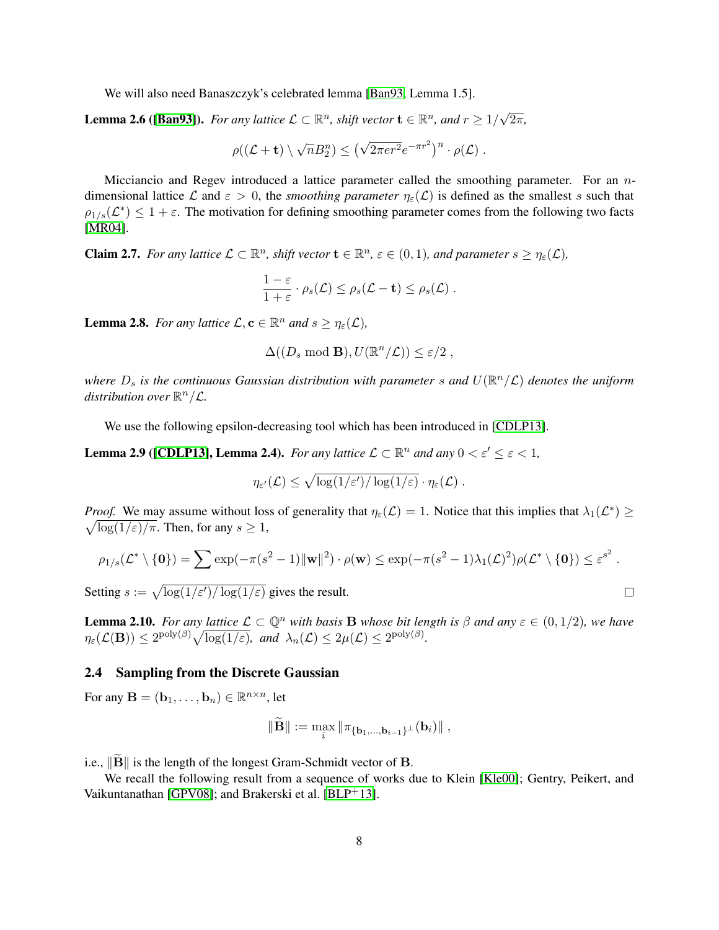We will also need Banaszczyk's celebrated lemma [\[Ban93,](#page-18-4) Lemma 1.5].

<span id="page-8-5"></span>**Lemma 2.6 ([\[Ban93\]](#page-18-4)).** *For any lattice*  $\mathcal{L} \subset \mathbb{R}^n$ *, shift vector*  $\mathbf{t} \in \mathbb{R}^n$ *, and*  $r \geq 1/2$ √ 2π*,*

$$
\rho((\mathcal{L}+\mathbf{t})\setminus\sqrt{n}B_2^n)\leq (\sqrt{2\pi er^2}e^{-\pi r^2})^n\cdot\rho(\mathcal{L}).
$$

Micciancio and Regev introduced a lattice parameter called the smoothing parameter. For an ndimensional lattice L and  $\varepsilon > 0$ , the *smoothing parameter*  $\eta_{\varepsilon}(\mathcal{L})$  is defined as the smallest s such that  $\rho_{1/s}(\mathcal{L}^*) \leq 1+\varepsilon$ . The motivation for defining smoothing parameter comes from the following two facts [\[MR04\]](#page-20-9).

<span id="page-8-4"></span>**Claim 2.7.** For any lattice  $\mathcal{L} \subset \mathbb{R}^n$ , shift vector  $\mathbf{t} \in \mathbb{R}^n$ ,  $\varepsilon \in (0,1)$ , and parameter  $s \geq \eta_{\varepsilon}(\mathcal{L})$ ,

$$
\frac{1-\varepsilon}{1+\varepsilon}\cdot\rho_s(\mathcal{L})\leq\rho_s(\mathcal{L}-\mathbf{t})\leq\rho_s(\mathcal{L}).
$$

<span id="page-8-3"></span>**Lemma 2.8.** *For any lattice*  $\mathcal{L}, \mathbf{c} \in \mathbb{R}^n$  *and*  $s \geq \eta_{\varepsilon}(\mathcal{L})$ *,* 

<span id="page-8-2"></span> $\Delta((D_s \mod B), U(\mathbb{R}^n/\mathcal{L})) \leq \varepsilon/2$ ,

where  $D_s$  is the continuous Gaussian distribution with parameter  $s$  and  $U(\mathbb{R}^n/\mathcal{L})$  denotes the uniform distribution over  $\mathbb{R}^n/\mathcal{L}$ .

We use the following epsilon-decreasing tool which has been introduced in [\[CDLP13\]](#page-19-15).

**Lemma 2.9** (**[\[CDLP13\]](#page-19-15), Lemma 2.4).** *For any lattice*  $\mathcal{L} \subset \mathbb{R}^n$  *and any*  $0 < \varepsilon' \leq \varepsilon < 1$ *,* 

$$
\eta_{\varepsilon'}(\mathcal{L}) \leq \sqrt{\log(1/\varepsilon')/\log(1/\varepsilon)} \cdot \eta_{\varepsilon}(\mathcal{L}) \ .
$$

*Proof.* We may assume without loss of generality that  $\eta_{\varepsilon}(\mathcal{L}) = 1$ . Notice that this implies that  $\lambda_1(\mathcal{L}^*) \geq$  $\sqrt{\log(1/\varepsilon)/\pi}$ . Then, for any  $s \geq 1$ ,

$$
\rho_{1/s}(\mathcal{L}^*\setminus\{\mathbf{0}\})=\sum \exp(-\pi(s^2-1)\|\mathbf{w}\|^2)\cdot\rho(\mathbf{w})\leq \exp(-\pi(s^2-1)\lambda_1(\mathcal{L})^2)\rho(\mathcal{L}^*\setminus\{\mathbf{0}\})\leq \varepsilon^{s^2}.
$$

Setting  $s := \sqrt{\log(1/\varepsilon')/\log(1/\varepsilon)}$  gives the result.

<span id="page-8-0"></span>**Lemma 2.10.** *For any lattice*  $\mathcal{L} \subset \mathbb{Q}^n$  *with basis* **B** *whose bit length is*  $\beta$  *and any*  $\varepsilon \in (0, 1/2)$ *, we have*  $\eta_{\varepsilon}(\mathcal{L}(\mathbf{B})) \leq 2^{\text{poly}(\beta)} \sqrt{\log(1/\varepsilon)}, \text{ and } \lambda_n(\mathcal{L}) \leq 2\mu(\mathcal{L}) \leq 2^{\text{poly}(\beta)}.$ 

#### 2.4 Sampling from the Discrete Gaussian

For any  $\mathbf{B} = (\mathbf{b}_1, \dots, \mathbf{b}_n) \in \mathbb{R}^{n \times n}$ , let

$$
\|\mathbf{B}\| := \max_{i} \|\pi_{\{\mathbf{b}_1,\dots,\mathbf{b}_{i-1}\}^{\perp}}(\mathbf{b}_i)\|,
$$

i.e.,  $\|\vec{B}\|$  is the length of the longest Gram-Schmidt vector of B.

<span id="page-8-1"></span>We recall the following result from a sequence of works due to Klein [\[Kle00\]](#page-20-14); Gentry, Peikert, and Vaikuntanathan [\[GPV08\]](#page-19-10); and Brakerski et al. [\[BLP](#page-19-17)+13].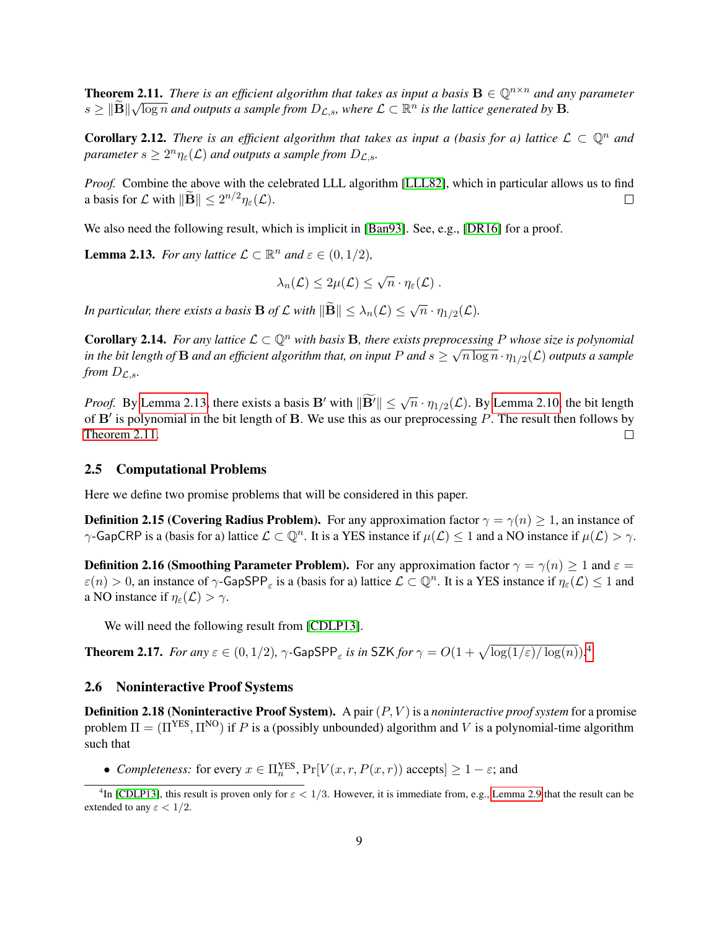**Theorem 2.11.** *There is an efficient algorithm that takes as input a basis*  $\mathbf{B} \in \mathbb{Q}^{n \times n}$  *and any parameter*  $s \geq ||\widetilde{\mathbf{B}}||\sqrt{\log n}$  and outputs a sample from  $D_{\mathcal{L},s}$ , where  $\mathcal{L} \subset \mathbb{R}^n$  is the lattice generated by  $\mathbf{B}$ .

<span id="page-9-3"></span>**Corollary 2.12.** *There is an efficient algorithm that takes as input a (basis for a) lattice*  $\mathcal{L} \subset \mathbb{Q}^n$  *and parameter*  $s \geq 2^n \eta_{\varepsilon}(\mathcal{L})$  *and outputs a sample from*  $D_{\mathcal{L},s}$ *.* 

*Proof.* Combine the above with the celebrated LLL algorithm [\[LLL82\]](#page-20-3), which in particular allows us to find a basis for  $\mathcal L$  with  $\|\widetilde{\mathbf{B}}\| \leq 2^{n/2} \eta_{\varepsilon}(\mathcal L)$ .  $\Box$ 

We also need the following result, which is implicit in [\[Ban93\]](#page-18-4). See, e.g., [\[DR16\]](#page-19-14) for a proof.

<span id="page-9-0"></span>**Lemma 2.13.** *For any lattice*  $\mathcal{L} \subset \mathbb{R}^n$  *and*  $\varepsilon \in (0, 1/2)$ *,* 

$$
\lambda_n(\mathcal{L}) \leq 2\mu(\mathcal{L}) \leq \sqrt{n} \cdot \eta_{\varepsilon}(\mathcal{L}) \ .
$$

In particular, there exists a basis  $\mathbf{B}$  of  $\mathcal L$  with  $\|\widetilde{\mathbf{B}}\| \leq \lambda_n(\mathcal L) \leq \sqrt{n} \cdot \eta_{1/2}(\mathcal L).$ 

<span id="page-9-2"></span>**Corollary 2.14.** For any lattice  $\mathcal{L} \subset \mathbb{Q}^n$  with basis **B**, there exists preprocessing P whose size is polynomial in the bit length of  ${\bf B}$  and an efficient algorithm that, on input  $P$  and  $s\geq\sqrt{n\log n}\cdot\eta_{1/2}(\mathcal L)$  outputs a sample *from*  $D_{\mathcal{L},s}$ *.* 

*Proof.* By [Lemma 2.13,](#page-9-0) there exists a basis B' with  $\|\widetilde{B'}\| \leq \sqrt{n} \cdot \eta_{1/2}(\mathcal{L})$ . By [Lemma 2.10,](#page-8-0) the bit length of  $B'$  is polynomial in the bit length of B. We use this as our preprocessing P. The result then follows by [Theorem 2.11.](#page-8-1)  $\Box$ 

#### 2.5 Computational Problems

Here we define two promise problems that will be considered in this paper.

**Definition 2.15 (Covering Radius Problem).** For any approximation factor  $\gamma = \gamma(n) > 1$ , an instance of  $\gamma$ -GapCRP is a (basis for a) lattice  $\mathcal{L} \subset \mathbb{Q}^n$ . It is a YES instance if  $\mu(\mathcal{L}) \leq 1$  and a NO instance if  $\mu(\mathcal{L}) > \gamma$ .

**Definition 2.16 (Smoothing Parameter Problem).** For any approximation factor  $\gamma = \gamma(n) \ge 1$  and  $\varepsilon =$  $\varepsilon(n) > 0$ , an instance of  $\gamma$ -GapSPP<sub> $\varepsilon$ </sub> is a (basis for a) lattice  $\mathcal{L} \subset \mathbb{Q}^n$ . It is a YES instance if  $\eta_{\varepsilon}(\mathcal{L}) \le 1$  and a NO instance if  $\eta_{\varepsilon}(\mathcal{L}) > \gamma$ .

We will need the following result from [\[CDLP13\]](#page-19-15).

<span id="page-9-4"></span>Theorem 2.17. *For any*  $\varepsilon \in (0,1/2)$ ,  $\gamma$ -GapSPP<sub> $\varepsilon$ </sub> is in SZK for  $\gamma = O(1+\sqrt{\log(1/\varepsilon)/\log(n)})$ .<sup>[4](#page-9-1)</sup>

#### 2.6 Noninteractive Proof Systems

**Definition 2.18 (Noninteractive Proof System).** A pair  $(P, V)$  is a *noninteractive proof system* for a promise problem  $\Pi = (\Pi^{YES}, \Pi^{NO})$  if P is a (possibly unbounded) algorithm and V is a polynomial-time algorithm such that

• *Completeness:* for every  $x \in \Pi_n^{\text{YES}}, \Pr[V(x, r, P(x, r)) \text{ accepts}] \ge 1 - \varepsilon$ ; and

<span id="page-9-1"></span><sup>&</sup>lt;sup>4</sup>In [\[CDLP13\]](#page-19-15), this result is proven only for  $\varepsilon < 1/3$ . However, it is immediate from, e.g., [Lemma 2.9](#page-8-2) that the result can be extended to any  $\varepsilon < 1/2$ .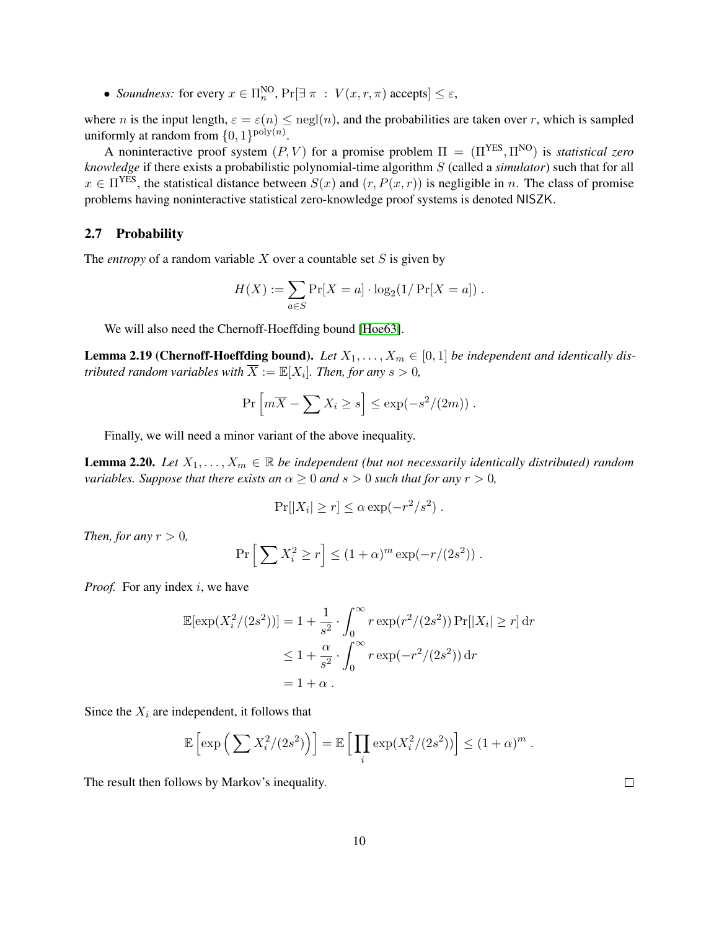• *Soundness:* for every  $x \in \Pi_n^{\text{NO}}$ ,  $\Pr[\exists \pi : V(x, r, \pi) \text{ accepts}] \le \varepsilon$ ,

where n is the input length,  $\varepsilon = \varepsilon(n) \leq \text{negl}(n)$ , and the probabilities are taken over r, which is sampled uniformly at random from  $\{0,1\}^{\text{poly}(n)}$ .

A noninteractive proof system  $(P, V)$  for a promise problem  $\Pi = (\Pi^{YES}, \Pi^{NO})$  is *statistical zero knowledge* if there exists a probabilistic polynomial-time algorithm S (called a *simulator*) such that for all  $x \in \Pi^{YES}$ , the statistical distance between  $S(x)$  and  $(r, P(x, r))$  is negligible in n. The class of promise problems having noninteractive statistical zero-knowledge proof systems is denoted NISZK.

### 2.7 Probability

The *entropy* of a random variable  $X$  over a countable set  $S$  is given by

$$
H(X) := \sum_{a \in S} \Pr[X = a] \cdot \log_2(1/\Pr[X = a]) \ .
$$

We will also need the Chernoff-Hoeffding bound [\[Hoe63\]](#page-20-15).

<span id="page-10-0"></span>**Lemma 2.19 (Chernoff-Hoeffding bound).** Let  $X_1, \ldots, X_m \in [0,1]$  be independent and identically dis*tributed random variables with*  $\overline{X} := \mathbb{E}[X_i]$ *. Then, for any s*  $> 0$ *,* 

$$
\Pr\left[m\overline{X} - \sum X_i \ge s\right] \le \exp(-s^2/(2m)) \; .
$$

Finally, we will need a minor variant of the above inequality.

<span id="page-10-1"></span>**Lemma 2.20.** *Let*  $X_1, \ldots, X_m \in \mathbb{R}$  *be independent (but not necessarily identically distributed) random variables. Suppose that there exists an*  $\alpha > 0$  *and*  $s > 0$  *such that for any*  $r > 0$ *,* 

$$
\Pr[|X_i| \ge r] \le \alpha \exp(-r^2/s^2).
$$

*Then, for any*  $r > 0$ *,* 

$$
\Pr\left[\sum X_i^2 \ge r\right] \le (1+\alpha)^m \exp(-r/(2s^2)) \; .
$$

*Proof.* For any index *i*, we have

$$
\mathbb{E}[\exp(X_i^2/(2s^2))] = 1 + \frac{1}{s^2} \cdot \int_0^\infty r \exp(r^2/(2s^2)) \Pr[|X_i| \ge r] dr
$$
  

$$
\le 1 + \frac{\alpha}{s^2} \cdot \int_0^\infty r \exp(-r^2/(2s^2)) dr
$$
  

$$
= 1 + \alpha.
$$

Since the  $X_i$  are independent, it follows that

$$
\mathbb{E}\left[\exp\left(\sum X_i^2/(2s^2)\right)\right] = \mathbb{E}\left[\prod_i \exp(X_i^2/(2s^2))\right] \le (1+\alpha)^m.
$$

The result then follows by Markov's inequality.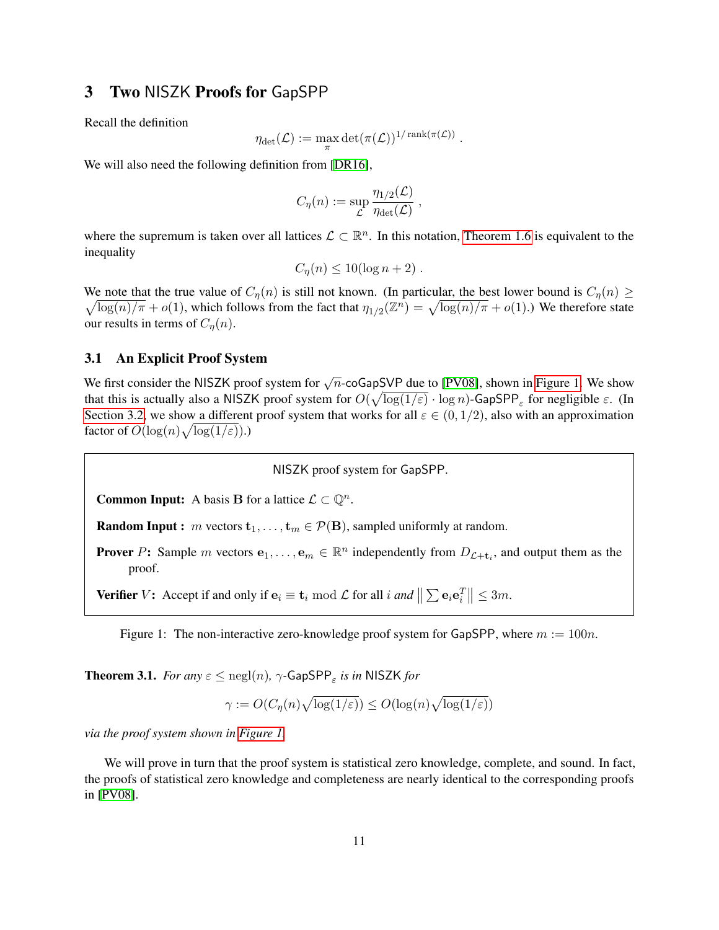# <span id="page-11-0"></span>3 Two NISZK Proofs for GapSPP

Recall the definition

$$
\eta_{\det}(\mathcal{L}):=\max_{\pi}\det(\pi(\mathcal{L}))^{1/\operatorname{rank}(\pi(\mathcal{L}))}
$$

.

We will also need the following definition from [\[DR16\]](#page-19-14),

$$
C_{\eta}(n) := \sup_{\mathcal{L}} \frac{\eta_{1/2}(\mathcal{L})}{\eta_{\text{det}}(\mathcal{L})},
$$

where the supremum is taken over all lattices  $\mathcal{L} \subset \mathbb{R}^n$ . In this notation, [Theorem 1.6](#page-4-1) is equivalent to the inequality

$$
C_{\eta}(n) \le 10(\log n + 2) .
$$

We note that the true value of  $C_{\eta}(n)$  is still not known. (In particular, the best lower bound is  $C_{\eta}(n) \geq$  $\sqrt{\log(n)/\pi} + o(1)$ , which follows from the fact that  $\eta_{1/2}(\mathbb{Z}^n) = \sqrt{\log(n)/\pi} + o(1)$ .) We therefore state our results in terms of  $C_n(n)$ .

#### <span id="page-11-2"></span>3.1 An Explicit Proof System

We first consider the NISZK proof system for  $\sqrt{n}$ -coGapSVP due to [\[PV08\]](#page-21-4), shown in [Figure 1.](#page-11-1) We show that this is actually also a NISZK proof system for  $O(\sqrt{\log(1/\varepsilon)} \cdot \log n)$ -GapSPP<sub> $\varepsilon$ </sub> for negligible  $\varepsilon$ . (In [Section 3.2,](#page-13-0) we show a different proof system that works for all  $\varepsilon \in (0, 1/2)$ , also with an approximation factor of  $O(\log(n)\sqrt{\log(1/\varepsilon)}).$ 

NISZK proof system for GapSPP.

<span id="page-11-1"></span>**Common Input:** A basis **B** for a lattice  $\mathcal{L} \subset \mathbb{Q}^n$ .

**Random Input :** m vectors  $\mathbf{t}_1, \ldots, \mathbf{t}_m \in \mathcal{P}(\mathbf{B})$ , sampled uniformly at random.

**Prover** P: Sample m vectors  $e_1, \ldots, e_m \in \mathbb{R}^n$  independently from  $D_{\mathcal{L}+t_i}$ , and output them as the proof.

**Verifier**  $V$ : Accept if and only if  $\mathbf{e}_i \equiv \mathbf{t}_i \bmod L$  for all  $i$  *and*  $\|\sum \mathbf{e}_i \mathbf{e}_i^T\| \leq 3m$ .

Figure 1: The non-interactive zero-knowledge proof system for GapSPP, where  $m := 100n$ .

**Theorem 3.1.** *For any*  $\varepsilon \leq$   $\mathrm{negl}(n)$ ,  $\gamma$ -GapSPP<sub> $\varepsilon$ </sub> *is in* NISZK *for* 

$$
\gamma := O(C_{\eta}(n)\sqrt{\log(1/\varepsilon)}) \le O(\log(n)\sqrt{\log(1/\varepsilon)})
$$

*via the proof system shown in [Figure 1.](#page-11-1)*

We will prove in turn that the proof system is statistical zero knowledge, complete, and sound. In fact, the proofs of statistical zero knowledge and completeness are nearly identical to the corresponding proofs in [\[PV08\]](#page-21-4).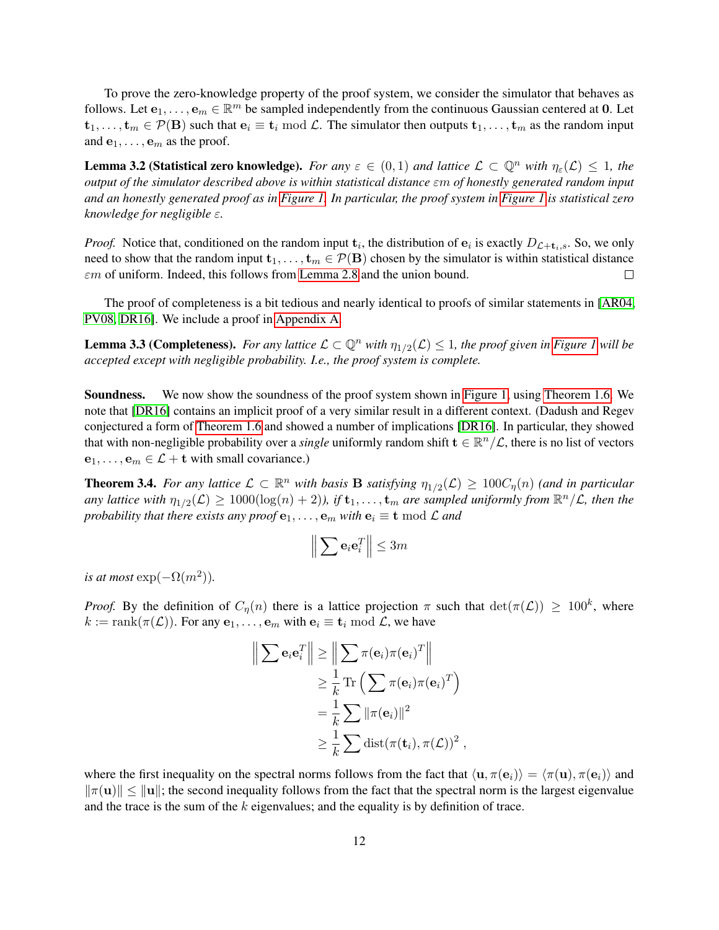To prove the zero-knowledge property of the proof system, we consider the simulator that behaves as follows. Let  $e_1, \ldots, e_m \in \mathbb{R}^m$  be sampled independently from the continuous Gaussian centered at 0. Let  $t_1, \ldots, t_m \in \mathcal{P}(\mathbf{B})$  such that  $\mathbf{e}_i \equiv \mathbf{t}_i \bmod \mathcal{L}$ . The simulator then outputs  $t_1, \ldots, t_m$  as the random input and  $e_1, \ldots, e_m$  as the proof.

**Lemma 3.2 (Statistical zero knowledge).** *For any*  $\varepsilon \in (0,1)$  *and lattice*  $\mathcal{L} \subset \mathbb{Q}^n$  *with*  $\eta_{\varepsilon}(\mathcal{L}) \leq 1$ *, the output of the simulator described above is within statistical distance* εm *of honestly generated random input and an honestly generated proof as in [Figure 1.](#page-11-1) In particular, the proof system in [Figure 1](#page-11-1) is statistical zero knowledge for negligible* ε*.*

*Proof.* Notice that, conditioned on the random input  $t_i$ , the distribution of  $e_i$  is exactly  $D_{\mathcal{L}+t_i,s}$ . So, we only need to show that the random input  $\mathbf{t}_1, \dots, \mathbf{t}_m \in \mathcal{P}(\mathbf{B})$  chosen by the simulator is within statistical distance  $\varepsilon$ m of uniform. Indeed, this follows from [Lemma 2.8](#page-8-3) and the union bound.  $\Box$ 

The proof of completeness is a bit tedious and nearly identical to proofs of similar statements in [\[AR04,](#page-18-1) [PV08,](#page-21-4) [DR16\]](#page-19-14). We include a proof in [Appendix A.](#page-21-6)

<span id="page-12-1"></span>**Lemma 3.3 (Completeness).** For any lattice  $\mathcal{L} \subset \mathbb{Q}^n$  with  $\eta_{1/2}(\mathcal{L}) \leq 1$ , the proof given in [Figure 1](#page-11-1) will be *accepted except with negligible probability. I.e., the proof system is complete.*

Soundness. We now show the soundness of the proof system shown in [Figure 1,](#page-11-1) using [Theorem 1.6.](#page-4-1) We note that [\[DR16\]](#page-19-14) contains an implicit proof of a very similar result in a different context. (Dadush and Regev conjectured a form of [Theorem 1.6](#page-4-1) and showed a number of implications [\[DR16\]](#page-19-14). In particular, they showed that with non-negligible probability over a *single* uniformly random shift  $\mathbf{t} \in \mathbb{R}^n/\mathcal{L}$ , there is no list of vectors  $e_1, \ldots, e_m \in \mathcal{L} + t$  with small covariance.)

<span id="page-12-0"></span>**Theorem 3.4.** For any lattice  $\mathcal{L} \subset \mathbb{R}^n$  with basis **B** satisfying  $\eta_{1/2}(\mathcal{L}) \geq 100C_\eta(n)$  (and in particular  $a$ ny lattice with  $\eta_{1/2}(\mathcal{L}) \geq 1000(\log(n)+2)$ ), if  $\mathbf{t}_1,\ldots,\mathbf{t}_m$  are sampled uniformly from  $\mathbb{R}^n/\mathcal{L}$ , then the *probability that there exists any proof*  $e_1, \ldots, e_m$  *with*  $e_i \equiv t \mod L$  *and* 

$$
\left\| \sum \mathbf{e}_i \mathbf{e}_i^T \right\| \leq 3m
$$

*is at most*  $\exp(-\Omega(m^2)).$ 

*Proof.* By the definition of  $C_\eta(n)$  there is a lattice projection  $\pi$  such that  $\det(\pi(\mathcal{L})) \geq 100^k$ , where  $k := \text{rank}(\pi(\mathcal{L}))$ . For any  $\mathbf{e}_1, \dots, \mathbf{e}_m$  with  $\mathbf{e}_i \equiv \mathbf{t}_i \bmod \mathcal{L}$ , we have

$$
\left\| \sum \mathbf{e}_i \mathbf{e}_i^T \right\| \ge \left\| \sum \pi(\mathbf{e}_i) \pi(\mathbf{e}_i)^T \right\|
$$
  
\n
$$
\ge \frac{1}{k} \text{Tr} \left( \sum \pi(\mathbf{e}_i) \pi(\mathbf{e}_i)^T \right)
$$
  
\n
$$
= \frac{1}{k} \sum \|\pi(\mathbf{e}_i)\|^2
$$
  
\n
$$
\ge \frac{1}{k} \sum \text{dist}(\pi(\mathbf{t}_i), \pi(\mathcal{L}))^2,
$$

where the first inequality on the spectral norms follows from the fact that  $\langle \mathbf{u}, \pi(\mathbf{e}_i) \rangle = \langle \pi(\mathbf{u}), \pi(\mathbf{e}_i) \rangle$  and  $\|\pi(\mathbf{u})\| \leq \|\mathbf{u}\|$ ; the second inequality follows from the fact that the spectral norm is the largest eigenvalue and the trace is the sum of the  $k$  eigenvalues; and the equality is by definition of trace.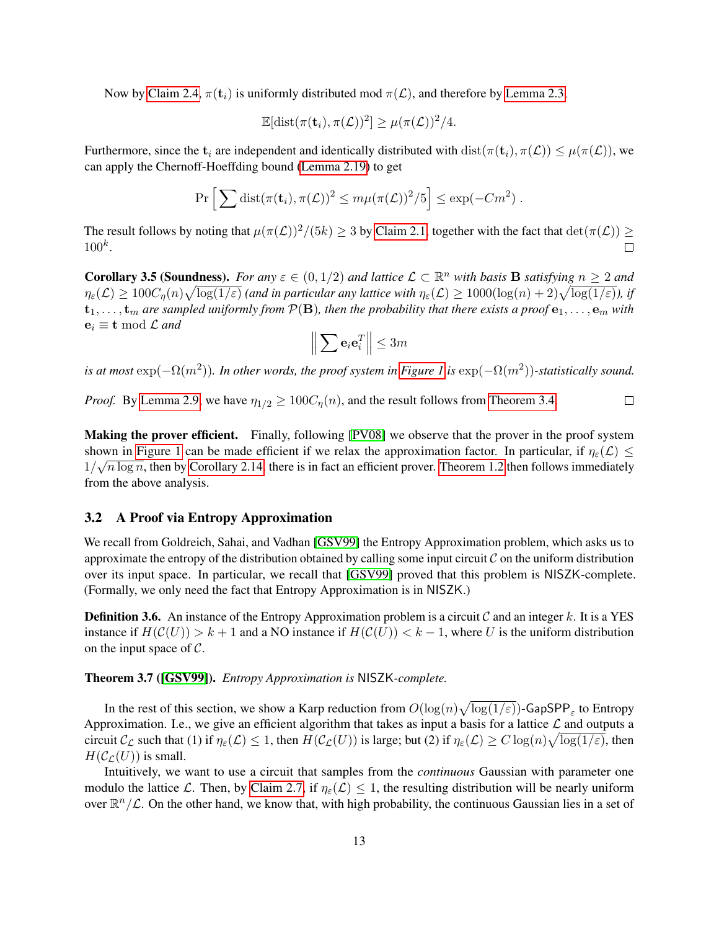Now by [Claim 2.4,](#page-7-1)  $\pi(t_i)$  is uniformly distributed mod  $\pi(\mathcal{L})$ , and therefore by [Lemma 2.3,](#page-6-0)

$$
\mathbb{E}[\mathrm{dist}(\pi(\mathbf{t}_i), \pi(\mathcal{L}))^2] \geq \mu(\pi(\mathcal{L}))^2/4.
$$

Furthermore, since the  $t_i$  are independent and identically distributed with dist $(\pi(t_i), \pi(\mathcal{L})) \leq \mu(\pi(\mathcal{L}))$ , we can apply the Chernoff-Hoeffding bound [\(Lemma 2.19\)](#page-10-0) to get

$$
\Pr\left[\sum \text{dist}(\pi(\mathbf{t}_i), \pi(\mathcal{L}))^2 \leq m\mu(\pi(\mathcal{L}))^2/5\right] \leq \exp(-Cm^2) .
$$

The result follows by noting that  $\mu(\pi(\mathcal{L}))^2/(5k) \geq 3$  by [Claim 2.1,](#page-6-1) together with the fact that  $\det(\pi(\mathcal{L})) \geq$  $100^k$ .  $\Box$ 

**Corollary 3.5 (Soundness).** For any  $\varepsilon \in (0, 1/2)$  and lattice  $\mathcal{L} \subset \mathbb{R}^n$  with basis **B** satisfying  $n \ge 2$  and  $\eta_\varepsilon(\mathcal{L})\geq 100C_\eta(n)\sqrt{\log(1/\varepsilon)}$  (and in particular any lattice with  $\eta_\varepsilon(\mathcal{L})\geq 1000(\log(n)+2)\sqrt{\log(1/\varepsilon)}$ ), if  $t_1, \ldots, t_m$  are sampled uniformly from  $\mathcal{P}(B)$ , then the probability that there exists a proof  $e_1, \ldots, e_m$  with  $e_i \equiv t \mod \mathcal{L}$  *and* 

$$
\left\| \sum \mathbf{e}_i \mathbf{e}_i^T \right\| \leq 3m
$$

is at most  $\exp(-\Omega(m^2))$ . In other words, the proof system in [Figure 1](#page-11-1) is  $\exp(-\Omega(m^2))$ -statistically sound.

*Proof.* By [Lemma 2.9,](#page-8-2) we have  $\eta_{1/2} \ge 100C_n(n)$ , and the result follows from [Theorem 3.4.](#page-12-0)  $\Box$ 

Making the prover efficient. Finally, following [\[PV08\]](#page-21-4) we observe that the prover in the proof system shown in [Figure 1](#page-11-1) can be made efficient if we relax the approximation factor. In particular, if  $\eta_{\varepsilon}(\mathcal{L}) \leq$  $1/\sqrt{n \log n}$ , then by [Corollary 2.14,](#page-9-2) there is in fact an efficient prover. [Theorem 1.2](#page-3-1) then follows immediately from the above analysis.

#### <span id="page-13-0"></span>3.2 A Proof via Entropy Approximation

We recall from Goldreich, Sahai, and Vadhan [\[GSV99\]](#page-20-2) the Entropy Approximation problem, which asks us to approximate the entropy of the distribution obtained by calling some input circuit  $\mathcal C$  on the uniform distribution over its input space. In particular, we recall that [\[GSV99\]](#page-20-2) proved that this problem is NISZK-complete. (Formally, we only need the fact that Entropy Approximation is in NISZK.)

**Definition 3.6.** An instance of the Entropy Approximation problem is a circuit C and an integer k. It is a YES instance if  $H(C(U)) > k + 1$  and a NO instance if  $H(C(U)) < k - 1$ , where U is the uniform distribution on the input space of  $C$ .

#### Theorem 3.7 ([\[GSV99\]](#page-20-2)). *Entropy Approximation is* NISZK*-complete.*

In the rest of this section, we show a Karp reduction from  $O(\log(n)\sqrt{\log(1/\varepsilon)})$ -GapSPP<sub> $\varepsilon$ </sub> to Entropy Approximation. I.e., we give an efficient algorithm that takes as input a basis for a lattice  $\mathcal L$  and outputs a circuit  $\mathcal{C}_{\mathcal{L}}$  such that (1) if  $\eta_{\varepsilon}(\mathcal{L}) \leq 1$ , then  $H(\mathcal{C}_{\mathcal{L}}(U))$  is large; but (2) if  $\eta_{\varepsilon}(\mathcal{L}) \geq C \log(n) \sqrt{\log(1/\varepsilon)}$ , then  $H(\mathcal{C}_{\mathcal{L}}(U))$  is small.

Intuitively, we want to use a circuit that samples from the *continuous* Gaussian with parameter one modulo the lattice L. Then, by [Claim 2.7,](#page-8-4) if  $\eta_{\varepsilon}(\mathcal{L}) \leq 1$ , the resulting distribution will be nearly uniform over  $\mathbb{R}^n/\mathcal{L}$ . On the other hand, we know that, with high probability, the continuous Gaussian lies in a set of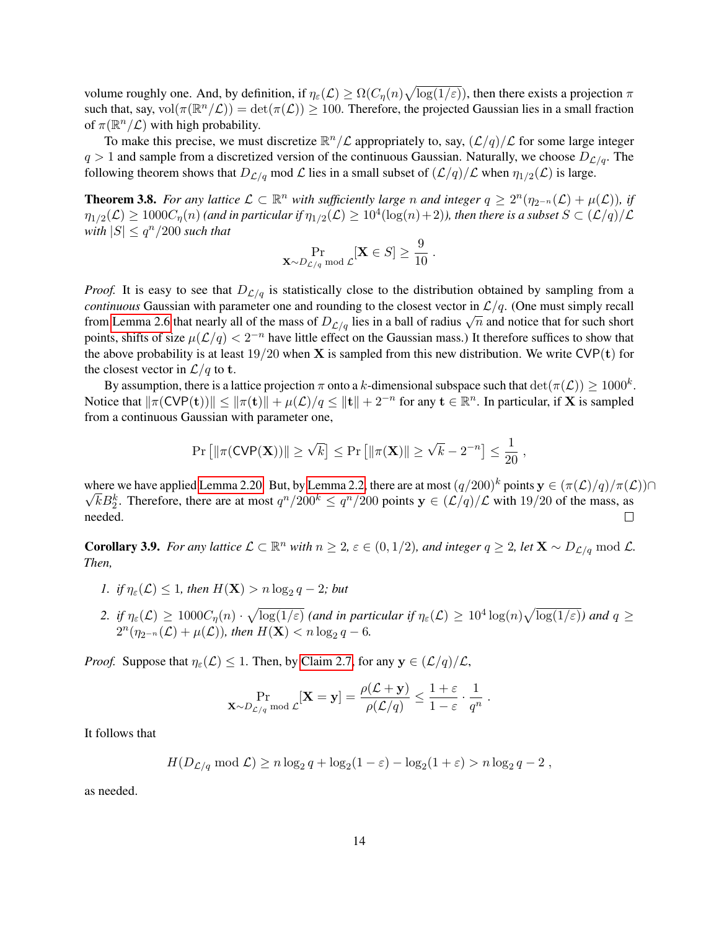volume roughly one. And, by definition, if  $\eta_\varepsilon(\mathcal{L}) \ge \Omega(C_\eta(n)\sqrt{\log(1/\varepsilon)})$ , then there exists a projection  $\pi$ such that, say,  $vol(\pi(\mathbb{R}^n/\mathcal{L})) = det(\pi(\mathcal{L})) \ge 100$ . Therefore, the projected Gaussian lies in a small fraction of  $\pi(\mathbb{R}^n/\mathcal{L})$  with high probability.

To make this precise, we must discretize  $\mathbb{R}^n/\mathcal{L}$  appropriately to, say,  $(\mathcal{L}/q)/\mathcal{L}$  for some large integer  $q > 1$  and sample from a discretized version of the continuous Gaussian. Naturally, we choose  $D_{\mathcal{L}/q}$ . The following theorem shows that  $D_{\mathcal{L}/q}$  mod  $\mathcal L$  lies in a small subset of  $(\mathcal L/q)/\mathcal L$  when  $\eta_{1/2}(\mathcal L)$  is large.

<span id="page-14-0"></span>**Theorem 3.8.** For any lattice  $\mathcal{L} \subset \mathbb{R}^n$  with sufficiently large n and integer  $q \geq 2^n(\eta_{2^{-n}}(\mathcal{L}) + \mu(\mathcal{L}))$ , if  $\eta_{1/2}(\mathcal{L})\geq 1000C_\eta(n)$  (and in particular if  $\eta_{1/2}(\mathcal{L})\geq 10^4(\log(n)+2)$ ), then there is a subset  $S\subset (\mathcal{L}/q)/\mathcal{L}$ *with*  $|S| \leq q^n/200$  *such that* 

$$
\Pr_{\mathbf{X} \sim D_{\mathcal{L}/q} \bmod \mathcal{L}}[\mathbf{X} \in S] \ge \frac{9}{10} .
$$

*Proof.* It is easy to see that  $D_{\mathcal{L}/q}$  is statistically close to the distribution obtained by sampling from a *continuous* Gaussian with parameter one and rounding to the closest vector in  $\mathcal{L}/q$ . (One must simply recall from [Lemma 2.6](#page-8-5) that nearly all of the mass of  $D_{L/q}$  lies in a ball of radius  $\sqrt{n}$  and notice that for such short points, shifts of size  $\mu(\mathcal{L}/q) < 2^{-n}$  have little effect on the Gaussian mass.) It therefore suffices to show that the above probability is at least  $19/20$  when **X** is sampled from this new distribution. We write CVP(t) for the closest vector in  $\mathcal{L}/q$  to t.

By assumption, there is a lattice projection  $\pi$  onto a k-dimensional subspace such that  $\det(\pi(\mathcal{L})) \geq 1000^k$ . Notice that  $\|\pi(\text{CVP(t)})\| \le \|\pi(\textbf{t})\| + \mu(\mathcal{L})/q \le \| \textbf{t} \| + 2^{-n}$  for any  $\textbf{t} \in \mathbb{R}^n$ . In particular, if **X** is sampled from a continuous Gaussian with parameter one,

$$
\Pr\left[\|\pi(\text{CVP}(\mathbf{X}))\|\geq \sqrt{k}\right] \leq \Pr\left[\|\pi(\mathbf{X})\| \geq \sqrt{k} - 2^{-n}\right] \leq \frac{1}{20},
$$

where we have applied [Lemma 2.20.](#page-10-1) But, by [Lemma 2.2,](#page-6-2) there are at most  $(q/200)^k$  points  $y \in (\pi(\mathcal{L})/q)/\pi(\mathcal{L})$  $\overline{k}B_2^k$ . Therefore, there are at most  $q^n/200^k \le q^n/200$  points  $y \in (\mathcal{L}/q)/\mathcal{L}$  with 19/20 of the mass, as needed.  $\Box$ 

<span id="page-14-1"></span>**Corollary 3.9.** For any lattice  $\mathcal{L} \subset \mathbb{R}^n$  with  $n \geq 2$ ,  $\varepsilon \in (0, 1/2)$ , and integer  $q \geq 2$ , let  $\mathbf{X} \sim D_{\mathcal{L}/q}$  mod  $\mathcal{L}$ . *Then,*

- 1. *if*  $\eta_{\varepsilon}(\mathcal{L}) \leq 1$ , then  $H(\mathbf{X}) > n \log_2 q 2$ ; but
- 2. if  $\eta_{\varepsilon}(\mathcal{L}) \geq 1000C_{\eta}(n) \cdot \sqrt{\log(1/\varepsilon)}$  (and in particular if  $\eta_{\varepsilon}(\mathcal{L}) \geq 10^4 \log(n) \sqrt{\log(1/\varepsilon)}$ ) and  $q \geq 10^4$  $2^{n}(\eta_{2^{-n}}(\mathcal{L}) + \mu(\mathcal{L}))$ , then  $H(\mathbf{X}) < n \log_2 q - 6$ .

*Proof.* Suppose that  $\eta_{\varepsilon}(\mathcal{L}) \leq 1$ . Then, by [Claim 2.7,](#page-8-4) for any  $y \in (\mathcal{L}/q)/\mathcal{L}$ ,

$$
\Pr_{\mathbf{X} \sim D_{\mathcal{L}/q} \bmod \mathcal{L}}[\mathbf{X} = \mathbf{y}] = \frac{\rho(\mathcal{L} + \mathbf{y})}{\rho(\mathcal{L}/q)} \le \frac{1+\varepsilon}{1-\varepsilon} \cdot \frac{1}{q^n} \ .
$$

It follows that

$$
H(D_{\mathcal{L}/q} \bmod \mathcal{L}) \ge n \log_2 q + \log_2(1-\varepsilon) - \log_2(1+\varepsilon) > n \log_2 q - 2,
$$

as needed.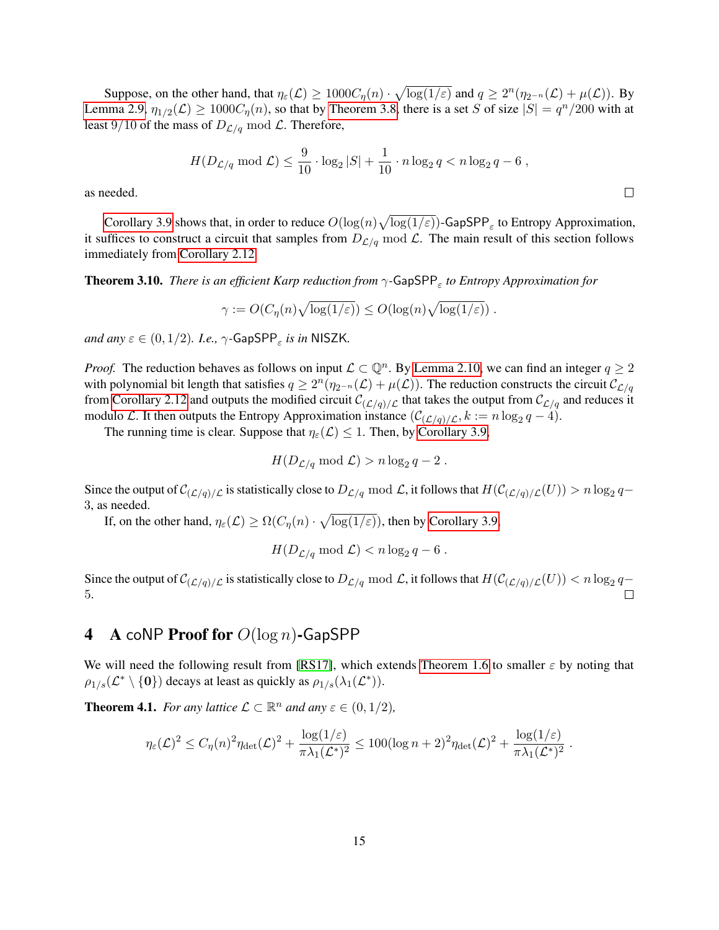Suppose, on the other hand, that  $\eta_{\varepsilon}(\mathcal{L}) \geq 1000C_{\eta}(n) \cdot \sqrt{\log(1/\varepsilon)}$  and  $q \geq 2^{n}(\eta_{2^{-n}}(\mathcal{L}) + \mu(\mathcal{L}))$ . By [Lemma 2.9,](#page-8-2)  $\eta_{1/2}(\mathcal{L}) \ge 1000C_{\eta}(n)$ , so that by [Theorem 3.8,](#page-14-0) there is a set S of size  $|S| = q^n/200$  with at least 9/10 of the mass of  $D_{\mathcal{L}/q}$  mod  $\mathcal{L}$ . Therefore,

$$
H(D_{\mathcal{L}/q} \bmod \mathcal{L}) \le \frac{9}{10} \cdot \log_2 |S| + \frac{1}{10} \cdot n \log_2 q < n \log_2 q - 6,
$$

as needed.

[Corollary 3.9](#page-14-1) shows that, in order to reduce  $O(\log(n)\sqrt{\log(1/\varepsilon)})$ -GapSPP<sub> $\varepsilon$ </sub> to Entropy Approximation, it suffices to construct a circuit that samples from  $D_{\mathcal{L}/q}$  mod  $\mathcal{L}$ . The main result of this section follows immediately from [Corollary 2.12.](#page-9-3)

**Theorem 3.10.** *There is an efficient Karp reduction from*  $\gamma$ -GapSPP<sub>ε</sub> to Entropy Approximation for

$$
\gamma := O(C_{\eta}(n)\sqrt{\log(1/\varepsilon)}) \leq O(\log(n)\sqrt{\log(1/\varepsilon)}) .
$$

 $and$   $any \in \in (0, 1/2)$ . I.e.,  $\gamma$ -GapSPP<sub> $\varepsilon$ </sub> is in NISZK.

*Proof.* The reduction behaves as follows on input  $\mathcal{L} \subset \mathbb{Q}^n$ . By [Lemma 2.10,](#page-8-0) we can find an integer  $q \geq 2$ with polynomial bit length that satisfies  $q \ge 2^n(\eta_{2^{-n}}(\mathcal{L}) + \mu(\mathcal{L}))$ . The reduction constructs the circuit  $\mathcal{C}_{\mathcal{L}/q}$ from [Corollary 2.12](#page-9-3) and outputs the modified circuit  $C_{(\mathcal{L}/q)/\mathcal{L}}$  that takes the output from  $C_{\mathcal{L}/q}$  and reduces it modulo *L*. It then outputs the Entropy Approximation instance  $(\mathcal{C}_{(\mathcal{L}/q)/\mathcal{L}}, k := n \log_2 q - 4)$ .

The running time is clear. Suppose that  $\eta_{\varepsilon}(\mathcal{L}) \leq 1$ . Then, by [Corollary 3.9,](#page-14-1)

$$
H(D_{\mathcal{L}/q} \bmod \mathcal{L}) > n \log_2 q - 2.
$$

Since the output of  $\mathcal{C}_{(\mathcal{L}/q)/\mathcal{L}}$  is statistically close to  $D_{\mathcal{L}/q}$  mod  $\mathcal{L}$ , it follows that  $H(\mathcal{C}_{(\mathcal{L}/q)/\mathcal{L}}(U)) > n \log_2 q$ 3, as needed.

If, on the other hand,  $\eta_{\varepsilon}(\mathcal{L}) \ge \Omega(C_{\eta}(n) \cdot \sqrt{\log(1/\varepsilon)})$ , then by [Corollary 3.9,](#page-14-1)

 $H(D_{\mathcal{L}/q} \mod \mathcal{L}) < n \log_2 q - 6$ .

Since the output of  $\mathcal{C}_{(\mathcal{L}/q)/\mathcal{L}}$  is statistically close to  $D_{\mathcal{L}/q}$  mod  $\mathcal{L}$ , it follows that  $H(\mathcal{C}_{(\mathcal{L}/q)/\mathcal{L}}(U)) < n \log_2 q$ 5.  $\Box$ 

# <span id="page-15-0"></span>4 A coNP Proof for  $O(\log n)$ -GapSPP

We will need the following result from [\[RS17\]](#page-21-5), which extends [Theorem 1.6](#page-4-1) to smaller  $\varepsilon$  by noting that  $\rho_{1/s}(\mathcal{L}^* \setminus {\bf{0}})$  decays at least as quickly as  $\rho_{1/s}(\lambda_1(\mathcal{L}^*))$ .

<span id="page-15-1"></span>**Theorem 4.1.** *For any lattice*  $\mathcal{L} \subset \mathbb{R}^n$  *and any*  $\varepsilon \in (0, 1/2)$ *,* 

$$
\eta_{\varepsilon}(\mathcal{L})^2 \leq C_{\eta}(n)^2 \eta_{\text{det}}(\mathcal{L})^2 + \frac{\log(1/\varepsilon)}{\pi \lambda_1(\mathcal{L}^*)^2} \leq 100(\log n + 2)^2 \eta_{\text{det}}(\mathcal{L})^2 + \frac{\log(1/\varepsilon)}{\pi \lambda_1(\mathcal{L}^*)^2}.
$$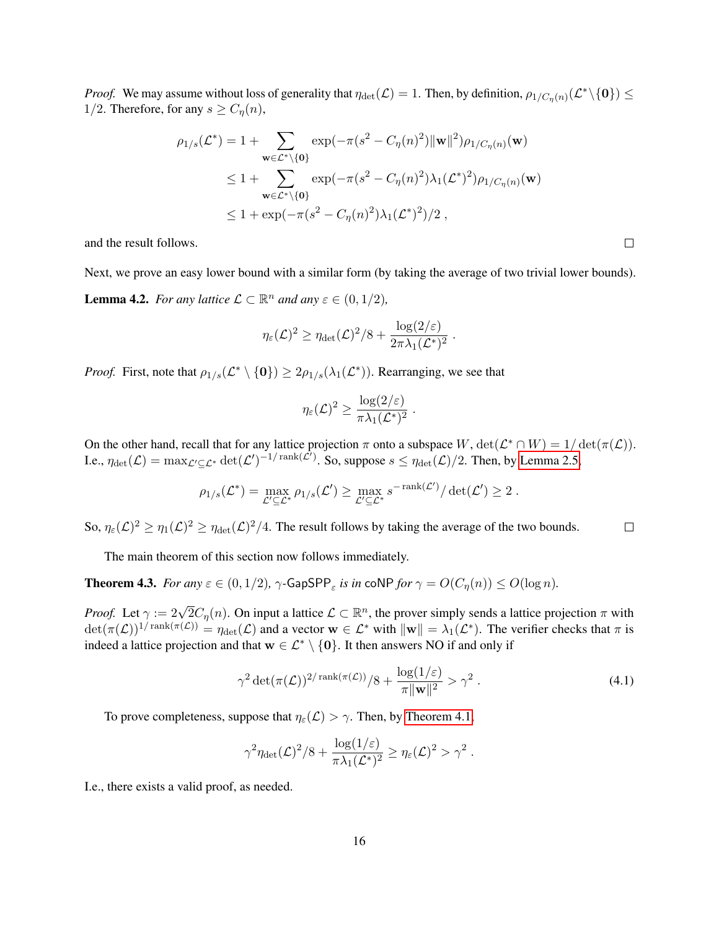*Proof.* We may assume without loss of generality that  $\eta_{\det}(\mathcal{L}) = 1$ . Then, by definition,  $\rho_{1/C_{\eta}(n)}(\mathcal{L}^*\setminus{\bf{0}}) \le$ 1/2. Therefore, for any  $s \geq C_{\eta}(n)$ ,

$$
\rho_{1/s}(\mathcal{L}^*) = 1 + \sum_{\mathbf{w} \in \mathcal{L}^* \setminus \{\mathbf{0}\}} \exp(-\pi (s^2 - C_\eta(n)^2) ||\mathbf{w}||^2) \rho_{1/C_\eta(n)}(\mathbf{w})
$$
  
\n
$$
\leq 1 + \sum_{\mathbf{w} \in \mathcal{L}^* \setminus \{\mathbf{0}\}} \exp(-\pi (s^2 - C_\eta(n)^2) \lambda_1 (\mathcal{L}^*)^2) \rho_{1/C_\eta(n)}(\mathbf{w})
$$
  
\n
$$
\leq 1 + \exp(-\pi (s^2 - C_\eta(n)^2) \lambda_1 (\mathcal{L}^*)^2) / 2 ,
$$

and the result follows.

<span id="page-16-0"></span>Next, we prove an easy lower bound with a similar form (by taking the average of two trivial lower bounds). **Lemma 4.2.** *For any lattice*  $\mathcal{L} \subset \mathbb{R}^n$  *and any*  $\varepsilon \in (0, 1/2)$ *,* 

$$
\eta_{\varepsilon}(\mathcal{L})^2 \geq \eta_{\text{det}}(\mathcal{L})^2/8 + \frac{\log(2/\varepsilon)}{2\pi\lambda_1(\mathcal{L}^*)^2} \ .
$$

*Proof.* First, note that  $\rho_{1/s}(\mathcal{L}^* \setminus \{0\}) \geq 2\rho_{1/s}(\lambda_1(\mathcal{L}^*))$ . Rearranging, we see that

$$
\eta_{\varepsilon}(\mathcal{L})^2 \geq \frac{\log(2/\varepsilon)}{\pi\lambda_1(\mathcal{L}^*)^2} \ .
$$

On the other hand, recall that for any lattice projection  $\pi$  onto a subspace  $W$ ,  $\det(\mathcal{L}^* \cap W) = 1/\det(\pi(\mathcal{L}))$ . I.e.,  $\eta_{\det}(\mathcal{L}) = \max_{\mathcal{L}' \subseteq \mathcal{L}^*} \det(\mathcal{L}')^{-1/\operatorname{rank}(\mathcal{L}')}$ . So, suppose  $s \leq \eta_{\det}(\mathcal{L})/2$ . Then, by [Lemma 2.5,](#page-7-0)

$$
\rho_{1/s}(\mathcal{L}^*) = \max_{\mathcal{L}' \subseteq \mathcal{L}^*} \rho_{1/s}(\mathcal{L}') \ge \max_{\mathcal{L}' \subseteq \mathcal{L}^*} s^{-\operatorname{rank}(\mathcal{L}')}/\det(\mathcal{L}') \ge 2.
$$

So,  $\eta_{\varepsilon}(\mathcal{L})^2 \ge \eta_1(\mathcal{L})^2 \ge \eta_{\text{det}}(\mathcal{L})^2/4$ . The result follows by taking the average of the two bounds.  $\Box$ 

The main theorem of this section now follows immediately.

<span id="page-16-2"></span>**Theorem 4.3.** *For any*  $\varepsilon \in (0, 1/2)$ ,  $\gamma$ -GapSPP<sub> $\varepsilon$ </sub> is in coNP for  $\gamma = O(C_{\eta}(n)) \leq O(\log n)$ .

*Proof.* Let  $\gamma := 2\sqrt{2}C_{\eta}(n)$ . On input a lattice  $\mathcal{L} \subset \mathbb{R}^{n}$ , the prover simply sends a lattice projection  $\pi$  with  $\det(\pi(\mathcal{L}))^{1/\mathrm{rank}(\pi(\mathcal{L}))} = \eta_{\det}(\mathcal{L})$  and a vector  $\mathbf{w} \in \mathcal{L}^*$  with  $\|\mathbf{w}\| = \lambda_1(\mathcal{L}^*)$ . The verifier checks that  $\pi$  is indeed a lattice projection and that  $w \in \mathcal{L}^* \setminus \{0\}$ . It then answers NO if and only if

<span id="page-16-1"></span>
$$
\gamma^2 \det(\pi(\mathcal{L}))^{2/\operatorname{rank}(\pi(\mathcal{L}))}/8 + \frac{\log(1/\varepsilon)}{\pi \|\mathbf{w}\|^2} > \gamma^2.
$$
 (4.1)

To prove completeness, suppose that  $\eta_{\varepsilon}(\mathcal{L}) > \gamma$ . Then, by [Theorem 4.1,](#page-15-1)

$$
\gamma^2 \eta_{\text{det}}(\mathcal{L})^2/8 + \frac{\log(1/\varepsilon)}{\pi \lambda_1(\mathcal{L}^*)^2} \ge \eta_{\varepsilon}(\mathcal{L})^2 > \gamma^2.
$$

I.e., there exists a valid proof, as needed.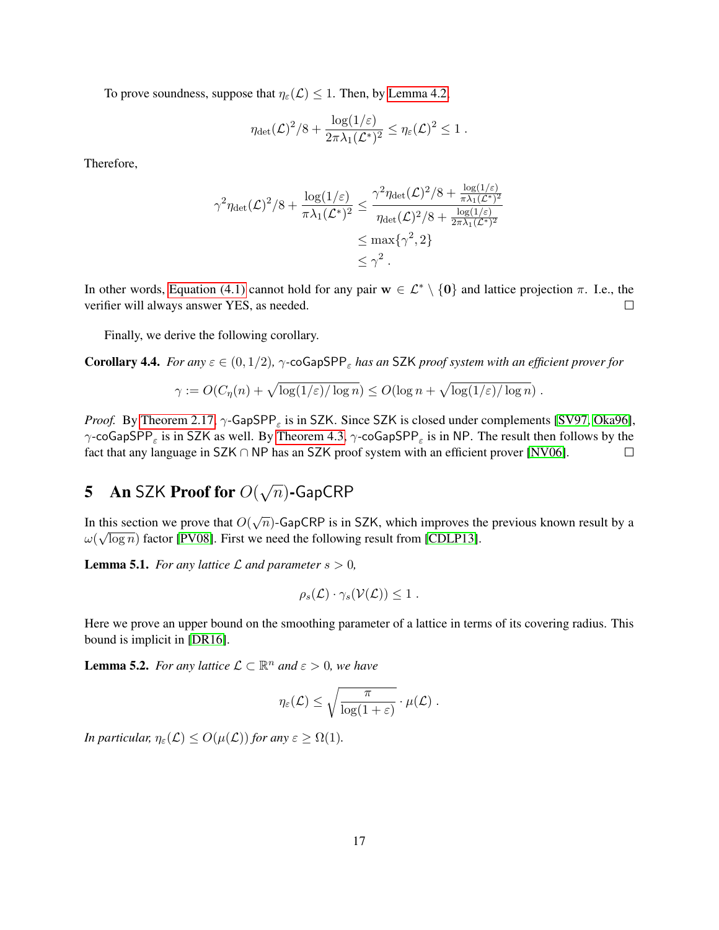To prove soundness, suppose that  $\eta_{\varepsilon}(\mathcal{L}) \leq 1$ . Then, by [Lemma 4.2,](#page-16-0)

$$
\eta_{\det}(\mathcal{L})^2/8 + \frac{\log(1/\varepsilon)}{2\pi\lambda_1(\mathcal{L}^*)^2} \leq \eta_{\varepsilon}(\mathcal{L})^2 \leq 1.
$$

Therefore,

$$
\gamma^2 \eta_{\text{det}}(\mathcal{L})^2 / 8 + \frac{\log(1/\varepsilon)}{\pi \lambda_1 (\mathcal{L}^*)^2} \le \frac{\gamma^2 \eta_{\text{det}}(\mathcal{L})^2 / 8 + \frac{\log(1/\varepsilon)}{\pi \lambda_1 (\mathcal{L}^*)^2}}{\eta_{\text{det}}(\mathcal{L})^2 / 8 + \frac{\log(1/\varepsilon)}{2\pi \lambda_1 (\mathcal{L}^*)^2}} \le \max\{\gamma^2, 2\} \le \gamma^2.
$$

In other words, [Equation \(4.1\)](#page-16-1) cannot hold for any pair  $w \in \mathcal{L}^* \setminus \{0\}$  and lattice projection  $\pi$ . I.e., the verifier will always answer YES, as needed.  $\Box$ 

Finally, we derive the following corollary.

Corollary 4.4. *For any*  $\varepsilon \in (0, 1/2)$ ,  $\gamma$ -coGapSPP<sub> $\varepsilon$ </sub> has an SZK *proof system with an efficient prover for* 

$$
\gamma := O(C_{\eta}(n) + \sqrt{\log(1/\varepsilon)/\log n}) \le O(\log n + \sqrt{\log(1/\varepsilon)/\log n}).
$$

*Proof.* By [Theorem 2.17,](#page-9-4)  $\gamma$ -GapSPP<sub> $\varepsilon$ </sub> is in SZK. Since SZK is closed under complements [\[SV97,](#page-21-0) [Oka96\]](#page-21-1),  $\gamma$ -coGapSPP<sub>ε</sub> is in SZK as well. By [Theorem 4.3,](#page-16-2)  $\gamma$ -coGapSPP<sub>ε</sub> is in NP. The result then follows by the fact that any language in SZK ∩ NP has an SZK proof system with an efficient prover [\[NV06\]](#page-20-12).  $\Box$ 

#### <span id="page-17-0"></span>5 An SZK Proof for  $O($ √  $\overline{n}$ )-GapCRP

In this section we prove that  $O(\sqrt{n})$ -GapCRP is in SZK, which improves the previous known result by a  $\omega(\sqrt{\log n})$  factor [\[PV08\]](#page-21-4). First we need the following result from [\[CDLP13\]](#page-19-15).

<span id="page-17-1"></span>**Lemma 5.1.** *For any lattice*  $\mathcal L$  *and parameter*  $s > 0$ *,* 

$$
\rho_s(\mathcal{L}) \cdot \gamma_s(\mathcal{V}(\mathcal{L})) \leq 1.
$$

Here we prove an upper bound on the smoothing parameter of a lattice in terms of its covering radius. This bound is implicit in [\[DR16\]](#page-19-14).

**Lemma 5.2.** *For any lattice*  $\mathcal{L} \subset \mathbb{R}^n$  *and*  $\varepsilon > 0$ *, we have* 

<span id="page-17-2"></span>
$$
\eta_{\varepsilon}(\mathcal{L}) \leq \sqrt{\frac{\pi}{\log(1+\varepsilon)}} \cdot \mu(\mathcal{L}) \ .
$$

*In particular,*  $\eta_{\varepsilon}(\mathcal{L}) \leq O(\mu(\mathcal{L}))$  *for any*  $\varepsilon \geq \Omega(1)$ *.*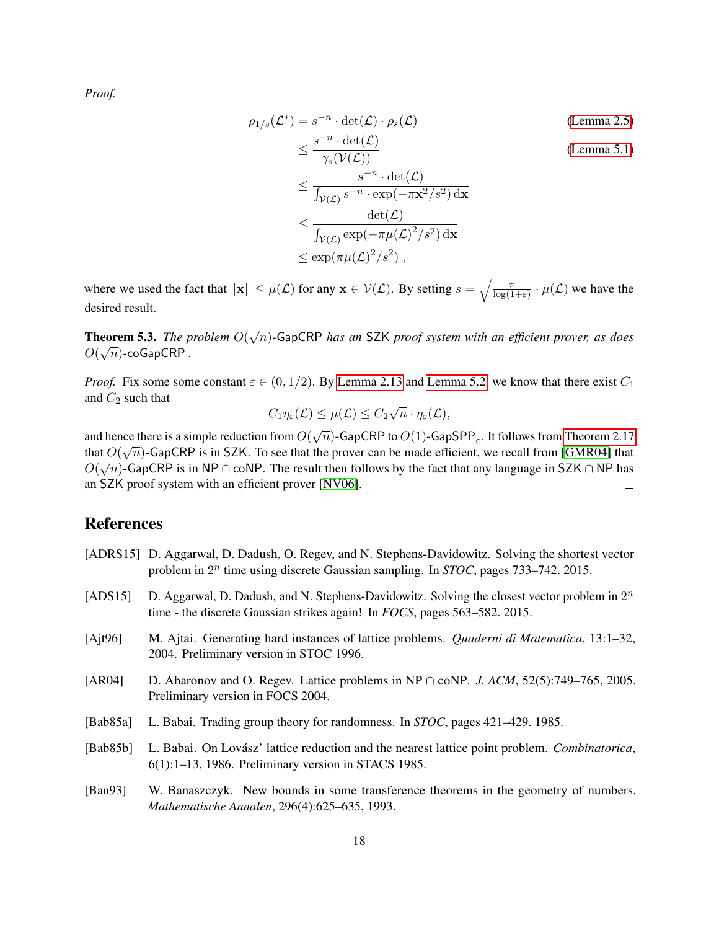*Proof.*

$$
\rho_{1/s}(\mathcal{L}^*) = s^{-n} \cdot \det(\mathcal{L}) \cdot \rho_s(\mathcal{L})
$$
\n
$$
\leq \frac{s^{-n} \cdot \det(\mathcal{L})}{\gamma_s(\mathcal{V}(\mathcal{L}))}
$$
\n(Lemma 2.5)\n
$$
\leq \frac{s^{-n} \cdot \det(\mathcal{L})}{\int_{\mathcal{V}(\mathcal{L})} s^{-n} \cdot \exp(-\pi \mathbf{x}^2/s^2) \, \mathrm{d}\mathbf{x}}
$$
\n
$$
\leq \frac{\det(\mathcal{L})}{\int_{\mathcal{V}(\mathcal{L})} \exp(-\pi \mu(\mathcal{L})^2/s^2) \, \mathrm{d}\mathbf{x}}
$$
\n
$$
\leq \exp(\pi \mu(\mathcal{L})^2/s^2),
$$

where we used the fact that  $\|\mathbf{x}\| \leq \mu(\mathcal{L})$  for any  $\mathbf{x} \in \mathcal{V}(\mathcal{L})$ . By setting  $s = \sqrt{\frac{\pi}{\log(1+\varepsilon)}} \cdot \mu(\mathcal{L})$  we have the desired result.  $\Box$ 

**Theorem 5.3.** *The problem*  $O(\sqrt{n})$ -GapCRP *has an* SZK *proof system with an efficient prover, as does*  $O(\sqrt{n})$ -coGapCRP .

*Proof.* Fix some some constant  $\varepsilon \in (0, 1/2)$ . By [Lemma 2.13](#page-9-0) and [Lemma 5.2,](#page-17-2) we know that there exist  $C_1$ and  $C_2$  such that √

$$
C_1\eta_{\varepsilon}(\mathcal{L}) \leq \mu(\mathcal{L}) \leq C_2\sqrt{n} \cdot \eta_{\varepsilon}(\mathcal{L}),
$$

and hence there is a simple reduction from  $O(\sqrt{n})$ -GapCRP to  $O(1)$ -GapSPP<sub> $\varepsilon$ </sub>. It follows from [Theorem 2.17](#page-9-4) that  $O(\sqrt{n})$ -GapCRP is in SZK. To see that the prover can be made efficient, we recall from [\[GMR04\]](#page-19-16) that  $O(\sqrt{n})$ -GapCRP is in NP ∩ coNP. The result then follows by the fact that any language in SZK ∩ NP has an SZK proof system with an efficient prover [\[NV06\]](#page-20-12).  $\Box$ 

# References

- <span id="page-18-2"></span>[ADRS15] D. Aggarwal, D. Dadush, O. Regev, and N. Stephens-Davidowitz. Solving the shortest vector problem in  $2^n$  time using discrete Gaussian sampling. In *STOC*, pages 733–742. 2015.
- <span id="page-18-3"></span>[ADS15] D. Aggarwal, D. Dadush, and N. Stephens-Davidowitz. Solving the closest vector problem in  $2^n$ time - the discrete Gaussian strikes again! In *FOCS*, pages 563–582. 2015.
- <span id="page-18-5"></span>[Ajt96] M. Ajtai. Generating hard instances of lattice problems. *Quaderni di Matematica*, 13:1–32, 2004. Preliminary version in STOC 1996.
- <span id="page-18-1"></span>[AR04] D. Aharonov and O. Regev. Lattice problems in NP ∩ coNP. *J. ACM*, 52(5):749–765, 2005. Preliminary version in FOCS 2004.
- <span id="page-18-0"></span>[Bab85a] L. Babai. Trading group theory for randomness. In *STOC*, pages 421–429. 1985.
- <span id="page-18-6"></span>[Bab85b] L. Babai. On Lovász' lattice reduction and the nearest lattice point problem. *Combinatorica*, 6(1):1–13, 1986. Preliminary version in STACS 1985.
- <span id="page-18-4"></span>[Ban93] W. Banaszczyk. New bounds in some transference theorems in the geometry of numbers. *Mathematische Annalen*, 296(4):625–635, 1993.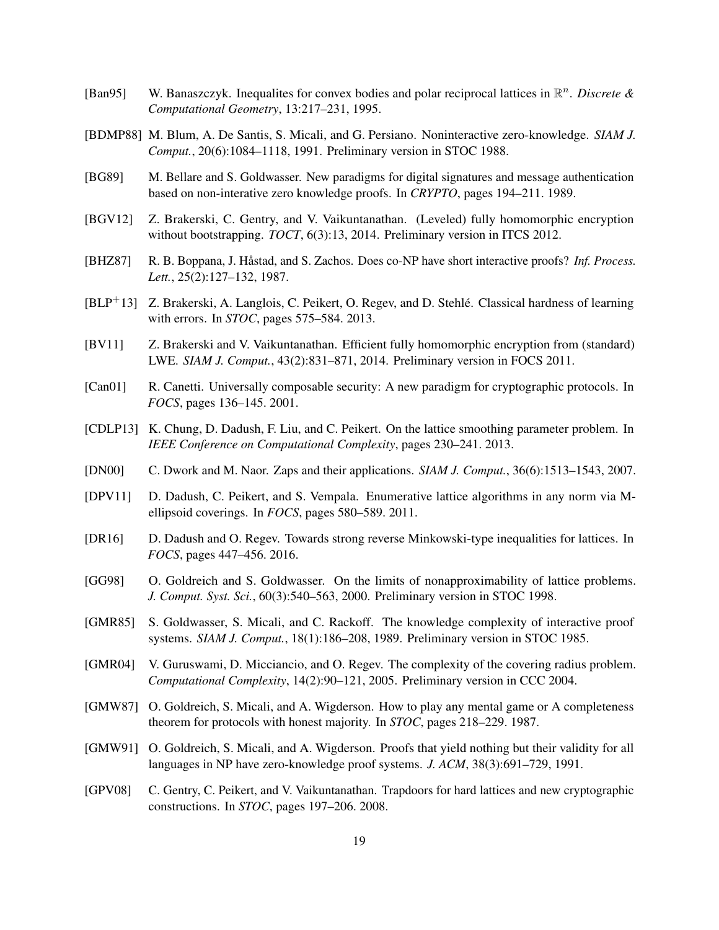- <span id="page-19-13"></span>[Ban95] W. Banaszczyk. Inequalites for convex bodies and polar reciprocal lattices in  $\mathbb{R}^n$ . *Discrete & Computational Geometry*, 13:217–231, 1995.
- <span id="page-19-7"></span>[BDMP88] M. Blum, A. De Santis, S. Micali, and G. Persiano. Noninteractive zero-knowledge. *SIAM J. Comput.*, 20(6):1084–1118, 1991. Preliminary version in STOC 1988.
- <span id="page-19-2"></span>[BG89] M. Bellare and S. Goldwasser. New paradigms for digital signatures and message authentication based on non-interative zero knowledge proofs. In *CRYPTO*, pages 194–211. 1989.
- <span id="page-19-12"></span>[BGV12] Z. Brakerski, C. Gentry, and V. Vaikuntanathan. (Leveled) fully homomorphic encryption without bootstrapping. *TOCT*, 6(3):13, 2014. Preliminary version in ITCS 2012.
- <span id="page-19-4"></span>[BHZ87] R. B. Boppana, J. Hastad, and S. Zachos. Does co-NP have short interactive proofs? ˚ *Inf. Process. Lett.*, 25(2):127–132, 1987.
- <span id="page-19-17"></span>[BLP<sup>+</sup>13] Z. Brakerski, A. Langlois, C. Peikert, O. Regev, and D. Stehlé. Classical hardness of learning with errors. In *STOC*, pages 575–584. 2013.
- <span id="page-19-11"></span>[BV11] Z. Brakerski and V. Vaikuntanathan. Efficient fully homomorphic encryption from (standard) LWE. *SIAM J. Comput.*, 43(2):831–871, 2014. Preliminary version in FOCS 2011.
- <span id="page-19-8"></span>[Can01] R. Canetti. Universally composable security: A new paradigm for cryptographic protocols. In *FOCS*, pages 136–145. 2001.
- <span id="page-19-15"></span>[CDLP13] K. Chung, D. Dadush, F. Liu, and C. Peikert. On the lattice smoothing parameter problem. In *IEEE Conference on Computational Complexity*, pages 230–241. 2013.
- <span id="page-19-3"></span>[DN00] C. Dwork and M. Naor. Zaps and their applications. *SIAM J. Comput.*, 36(6):1513–1543, 2007.
- <span id="page-19-9"></span>[DPV11] D. Dadush, C. Peikert, and S. Vempala. Enumerative lattice algorithms in any norm via Mellipsoid coverings. In *FOCS*, pages 580–589. 2011.
- <span id="page-19-14"></span>[DR16] D. Dadush and O. Regev. Towards strong reverse Minkowski-type inequalities for lattices. In *FOCS*, pages 447–456. 2016.
- <span id="page-19-6"></span>[GG98] O. Goldreich and S. Goldwasser. On the limits of nonapproximability of lattice problems. *J. Comput. Syst. Sci.*, 60(3):540–563, 2000. Preliminary version in STOC 1998.
- <span id="page-19-0"></span>[GMR85] S. Goldwasser, S. Micali, and C. Rackoff. The knowledge complexity of interactive proof systems. *SIAM J. Comput.*, 18(1):186–208, 1989. Preliminary version in STOC 1985.
- <span id="page-19-16"></span>[GMR04] V. Guruswami, D. Micciancio, and O. Regev. The complexity of the covering radius problem. *Computational Complexity*, 14(2):90–121, 2005. Preliminary version in CCC 2004.
- <span id="page-19-1"></span>[GMW87] O. Goldreich, S. Micali, and A. Wigderson. How to play any mental game or A completeness theorem for protocols with honest majority. In *STOC*, pages 218–229. 1987.
- <span id="page-19-5"></span>[GMW91] O. Goldreich, S. Micali, and A. Wigderson. Proofs that yield nothing but their validity for all languages in NP have zero-knowledge proof systems. *J. ACM*, 38(3):691–729, 1991.
- <span id="page-19-10"></span>[GPV08] C. Gentry, C. Peikert, and V. Vaikuntanathan. Trapdoors for hard lattices and new cryptographic constructions. In *STOC*, pages 197–206. 2008.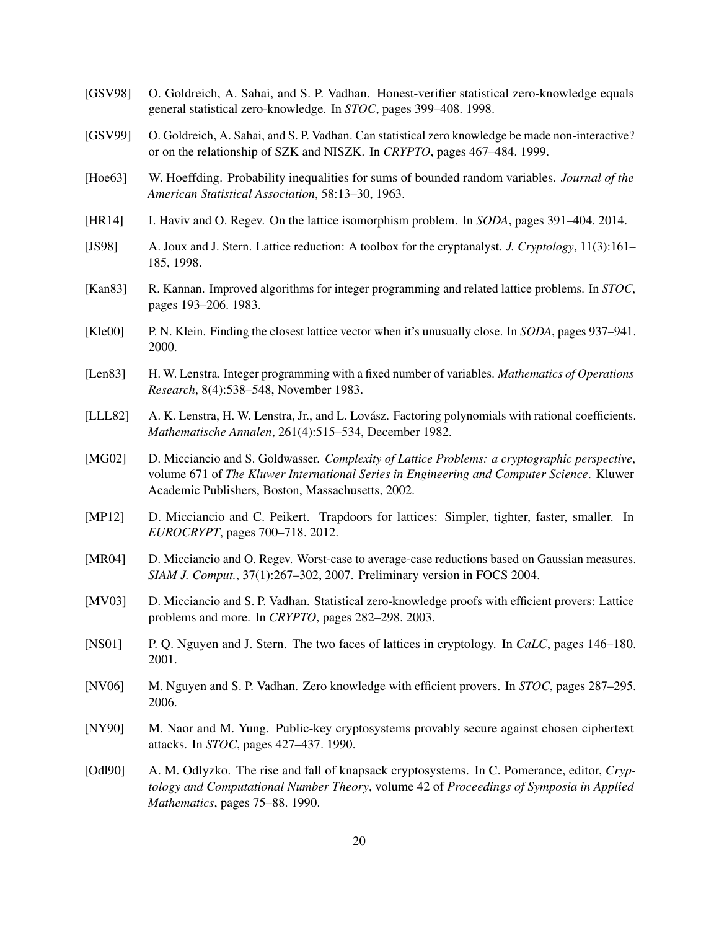- <span id="page-20-11"></span>[GSV98] O. Goldreich, A. Sahai, and S. P. Vadhan. Honest-verifier statistical zero-knowledge equals general statistical zero-knowledge. In *STOC*, pages 399–408. 1998.
- <span id="page-20-2"></span>[GSV99] O. Goldreich, A. Sahai, and S. P. Vadhan. Can statistical zero knowledge be made non-interactive? or on the relationship of SZK and NISZK. In *CRYPTO*, pages 467–484. 1999.
- <span id="page-20-15"></span>[Hoe63] W. Hoeffding. Probability inequalities for sums of bounded random variables. *Journal of the American Statistical Association*, 58:13–30, 1963.
- <span id="page-20-1"></span>[HR14] I. Haviv and O. Regev. On the lattice isomorphism problem. In *SODA*, pages 391–404. 2014.
- <span id="page-20-7"></span>[JS98] A. Joux and J. Stern. Lattice reduction: A toolbox for the cryptanalyst. *J. Cryptology*, 11(3):161– 185, 1998.
- <span id="page-20-5"></span>[Kan83] R. Kannan. Improved algorithms for integer programming and related lattice problems. In *STOC*, pages 193–206. 1983.
- <span id="page-20-14"></span>[Kle00] P. N. Klein. Finding the closest lattice vector when it's unusually close. In *SODA*, pages 937–941. 2000.
- <span id="page-20-4"></span>[Len83] H. W. Lenstra. Integer programming with a fixed number of variables. *Mathematics of Operations Research*, 8(4):538–548, November 1983.
- <span id="page-20-3"></span>[LLL82] A. K. Lenstra, H. W. Lenstra, Jr., and L. Lovász. Factoring polynomials with rational coefficients. *Mathematische Annalen*, 261(4):515–534, December 1982.
- <span id="page-20-13"></span>[MG02] D. Micciancio and S. Goldwasser. *Complexity of Lattice Problems: a cryptographic perspective*, volume 671 of *The Kluwer International Series in Engineering and Computer Science*. Kluwer Academic Publishers, Boston, Massachusetts, 2002.
- <span id="page-20-16"></span>[MP12] D. Micciancio and C. Peikert. Trapdoors for lattices: Simpler, tighter, faster, smaller. In *EUROCRYPT*, pages 700–718. 2012.
- <span id="page-20-9"></span>[MR04] D. Micciancio and O. Regev. Worst-case to average-case reductions based on Gaussian measures. *SIAM J. Comput.*, 37(1):267–302, 2007. Preliminary version in FOCS 2004.
- <span id="page-20-10"></span>[MV03] D. Micciancio and S. P. Vadhan. Statistical zero-knowledge proofs with efficient provers: Lattice problems and more. In *CRYPTO*, pages 282–298. 2003.
- <span id="page-20-8"></span>[NS01] P. Q. Nguyen and J. Stern. The two faces of lattices in cryptology. In *CaLC*, pages 146–180. 2001.
- <span id="page-20-12"></span>[NV06] M. Nguyen and S. P. Vadhan. Zero knowledge with efficient provers. In *STOC*, pages 287–295. 2006.
- <span id="page-20-0"></span>[NY90] M. Naor and M. Yung. Public-key cryptosystems provably secure against chosen ciphertext attacks. In *STOC*, pages 427–437. 1990.
- <span id="page-20-6"></span>[Odl90] A. M. Odlyzko. The rise and fall of knapsack cryptosystems. In C. Pomerance, editor, *Cryptology and Computational Number Theory*, volume 42 of *Proceedings of Symposia in Applied Mathematics*, pages 75–88. 1990.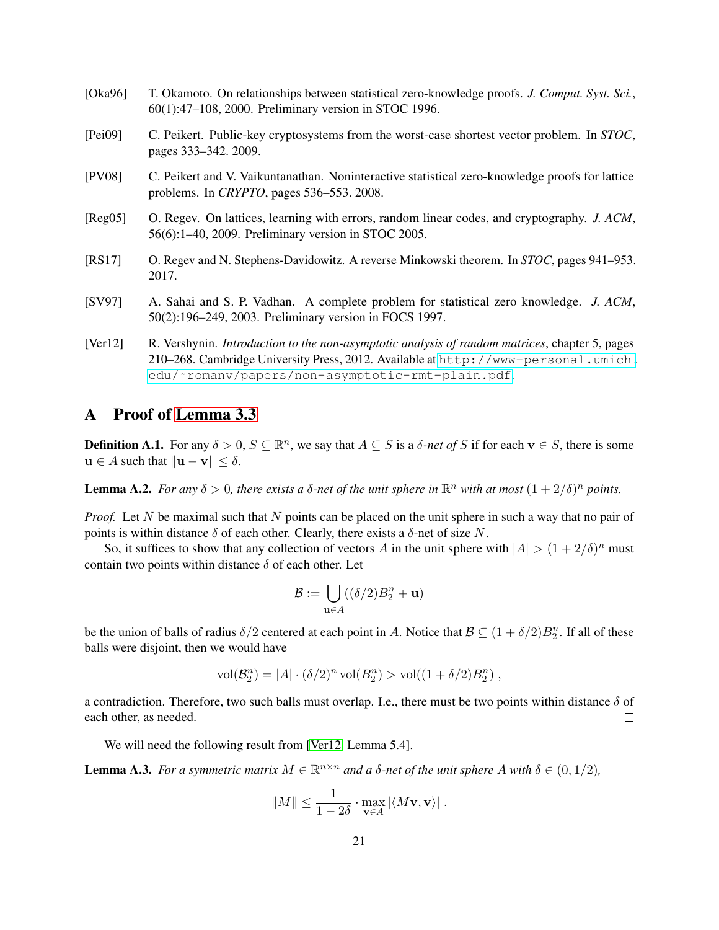- <span id="page-21-1"></span>[Oka96] T. Okamoto. On relationships between statistical zero-knowledge proofs. *J. Comput. Syst. Sci.*, 60(1):47–108, 2000. Preliminary version in STOC 1996.
- <span id="page-21-3"></span>[Pei09] C. Peikert. Public-key cryptosystems from the worst-case shortest vector problem. In *STOC*, pages 333–342. 2009.
- <span id="page-21-4"></span>[PV08] C. Peikert and V. Vaikuntanathan. Noninteractive statistical zero-knowledge proofs for lattice problems. In *CRYPTO*, pages 536–553. 2008.
- <span id="page-21-2"></span>[Reg05] O. Regev. On lattices, learning with errors, random linear codes, and cryptography. *J. ACM*, 56(6):1–40, 2009. Preliminary version in STOC 2005.
- <span id="page-21-5"></span>[RS17] O. Regev and N. Stephens-Davidowitz. A reverse Minkowski theorem. In *STOC*, pages 941–953. 2017.
- <span id="page-21-0"></span>[SV97] A. Sahai and S. P. Vadhan. A complete problem for statistical zero knowledge. *J. ACM*, 50(2):196–249, 2003. Preliminary version in FOCS 1997.
- <span id="page-21-7"></span>[Ver12] R. Vershynin. *Introduction to the non-asymptotic analysis of random matrices*, chapter 5, pages 210–268. Cambridge University Press, 2012. Available at [http://www-personal.umich.](http://www-personal.umich.edu/~romanv/papers/non-asymptotic-rmt-plain.pdf) [edu/˜romanv/papers/non-asymptotic-rmt-plain.pdf](http://www-personal.umich.edu/~romanv/papers/non-asymptotic-rmt-plain.pdf).

# <span id="page-21-6"></span>A Proof of [Lemma 3.3](#page-12-1)

**Definition A.1.** For any  $\delta > 0$ ,  $S \subseteq \mathbb{R}^n$ , we say that  $A \subseteq S$  is a  $\delta$ -net of S if for each  $\mathbf{v} \in S$ , there is some  $u \in A$  such that  $||u - v|| < \delta$ .

<span id="page-21-8"></span>**Lemma A.2.** For any  $\delta > 0$ , there exists a  $\delta$ -net of the unit sphere in  $\mathbb{R}^n$  with at most  $(1 + 2/\delta)^n$  points.

*Proof.* Let N be maximal such that N points can be placed on the unit sphere in such a way that no pair of points is within distance  $\delta$  of each other. Clearly, there exists a  $\delta$ -net of size N.

So, it suffices to show that any collection of vectors A in the unit sphere with  $|A| > (1 + 2/\delta)^n$  must contain two points within distance  $\delta$  of each other. Let

$$
\mathcal{B}:=\bigcup_{\mathbf{u}\in A}((\delta/2)B_2^n+\mathbf{u})
$$

be the union of balls of radius  $\delta/2$  centered at each point in A. Notice that  $\mathcal{B} \subseteq (1 + \delta/2)B_2^n$ . If all of these balls were disjoint, then we would have

$$
\text{vol}(\mathcal{B}_2^n) = |A| \cdot (\delta/2)^n \text{ vol}(B_2^n) > \text{vol}((1 + \delta/2)B_2^n) ,
$$

a contradiction. Therefore, two such balls must overlap. I.e., there must be two points within distance  $\delta$  of each other, as needed.  $\Box$ 

We will need the following result from [\[Ver12,](#page-21-7) Lemma 5.4].

<span id="page-21-9"></span>**Lemma A.3.** For a symmetric matrix  $M \in \mathbb{R}^{n \times n}$  and a  $\delta$ -net of the unit sphere A with  $\delta \in (0, 1/2)$ ,

$$
||M|| \leq \frac{1}{1-2\delta} \cdot \max_{\mathbf{v} \in A} |\langle M\mathbf{v}, \mathbf{v} \rangle| \; .
$$